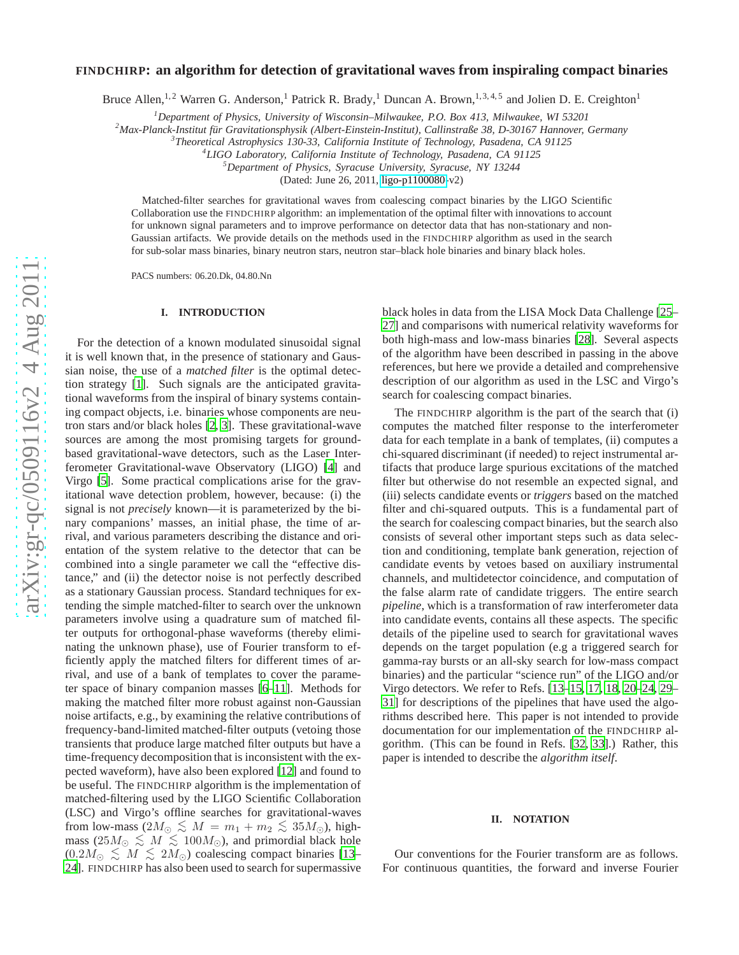# arXiv:gr-qc/0509116v2 4 Aug 2011 [arXiv:gr-qc/0509116v2 4 Aug 2011](http://arxiv.org/abs/gr-qc/0509116v2)

# **FINDCHIRP: an algorithm for detection of gravitational waves from inspiraling compact binaries**

Bruce Allen,<sup>1,2</sup> Warren G. Anderson,<sup>1</sup> Patrick R. Brady,<sup>1</sup> Duncan A. Brown,<sup>1,3,4,5</sup> and Jolien D. E. Creighton<sup>1</sup>

*<sup>1</sup>Department of Physics, University of Wisconsin–Milwaukee, P.O. Box 413, Milwaukee, WI 53201*

<sup>2</sup> Max-Planck-Institut für Gravitationsphysik (Albert-Einstein-Institut), Callinstraße 38, D-30167 Hannover, Germany

*Theoretical Astrophysics 130-33, California Institute of Technology, Pasadena, CA 91125 <sup>4</sup>*

*LIGO Laboratory, California Institute of Technology, Pasadena, CA 91125 <sup>5</sup>Department of Physics, Syracuse University, Syracuse, NY 13244*

(Dated: June 26, 2011, [ligo-p1100080-](http://arxiv.org/abs/ligo-p/1100080)v2)

Matched-filter searches for gravitational waves from coalescing compact binaries by the LIGO Scientific Collaboration use the FINDCHIRP algorithm: an implementation of the optimal filter with innovations to account for unknown signal parameters and to improve performance on detector data that has non-stationary and non-Gaussian artifacts. We provide details on the methods used in the FINDCHIRP algorithm as used in the search for sub-solar mass binaries, binary neutron stars, neutron star–black hole binaries and binary black holes.

PACS numbers: 06.20.Dk, 04.80.Nn

# **I. INTRODUCTION**

For the detection of a known modulated sinusoidal signal it is well known that, in the presence of stationary and Gaussian noise, the use of a *matched filter* is the optimal detection strategy [\[1\]](#page-15-0). Such signals are the anticipated gravitational waveforms from the inspiral of binary systems containing compact objects, i.e. binaries whose components are neutron stars and/or black holes [\[2,](#page-15-1) [3\]](#page-15-2). These gravitational-wave sources are among the most promising targets for groundbased gravitational-wave detectors, such as the Laser Interferometer Gravitational-wave Observatory (LIGO) [\[4\]](#page-15-3) and Virgo [\[5\]](#page-15-4). Some practical complications arise for the gravitational wave detection problem, however, because: (i) the signal is not *precisely* known—it is parameterized by the binary companions' masses, an initial phase, the time of arrival, and various parameters describing the distance and orientation of the system relative to the detector that can be combined into a single parameter we call the "effective distance," and (ii) the detector noise is not perfectly described as a stationary Gaussian process. Standard techniques for extending the simple matched-filter to search over the unknown parameters involve using a quadrature sum of matched filter outputs for orthogonal-phase waveforms (thereby eliminating the unknown phase), use of Fourier transform to efficiently apply the matched filters for different times of arrival, and use of a bank of templates to cover the parameter space of binary companion masses [\[6](#page-15-5)[–11](#page-15-6)]. Methods for making the matched filter more robust against non-Gaussian noise artifacts, e.g., by examining the relative contributions of frequency-band-limited matched-filter outputs (vetoing those transients that produce large matched filter outputs but have a time-frequency decomposition that is inconsistent with the expected waveform), have also been explored [\[12\]](#page-15-7) and found to be useful. The FINDCHIRP algorithm is the implementation of matched-filtering used by the LIGO Scientific Collaboration (LSC) and Virgo's offline searches for gravitational-waves from low-mass  $(2M_{\odot} \lesssim M = m_1 + m_2 \lesssim 35M_{\odot})$ , high-<br>mass  $(25M \lesssim M \lesssim 100M_{\odot})$  and primarial black hole mass (25 $M_{\odot} \lesssim M \lesssim 100 M_{\odot}$ ), and primordial black hole (0.2 $M_{\odot} \lesssim M \lesssim 2M_{\odot}$ ) coalescing compact binaries [\[13](#page-15-8)– [24\]](#page-15-9). FINDCHIRP has also been used to search for supermassive

black holes in data from the LISA Mock Data Challenge [\[25](#page-15-10)– [27\]](#page-15-11) and comparisons with numerical relativity waveforms fo r both high-mass and low-mass binaries [\[28](#page-15-12)]. Several aspects of the algorithm have been described in passing in the above references, but here we provide a detailed and comprehensiv e description of our algorithm as used in the LSC and Virgo's search for coalescing compact binaries.

The FINDCHIRP algorithm is the part of the search that (i) computes the matched filter response to the interferometer data for each template in a bank of templates, (ii) computes a chi-squared discriminant (if needed) to reject instrumental artifacts that produce large spurious excitations of the matched filter but otherwise do not resemble an expected signal, and (iii) selects candidate events or *triggers* based on the matched filter and chi-squared outputs. This is a fundamental part of the search for coalescing compact binaries, but the search also consists of several other important steps such as data selec tion and conditioning, template bank generation, rejection of candidate events by vetoes based on auxiliary instrumental channels, and multidetector coincidence, and computation of the false alarm rate of candidate triggers. The entire searc h *pipeline*, which is a transformation of raw interferometer data into candidate events, contains all these aspects. The specific details of the pipeline used to search for gravitational waves depends on the target population (e.g a triggered search for gamma-ray bursts or an all-sky search for low-mass compact binaries) and the particular "science run" of the LIGO and/o r Virgo detectors. We refer to Refs. [\[13](#page-15-8)[–15](#page-15-13), [17](#page-15-14), [18](#page-15-15), [20](#page-15-16)[–24](#page-15-9), [29](#page-15-17)– [31\]](#page-15-18) for descriptions of the pipelines that have used the algo rithms described here. This paper is not intended to provide documentation for our implementation of the FINDCHIRP algorithm. (This can be found in Refs. [\[32,](#page-15-19) [33\]](#page-16-0).) Rather, this paper is intended to describe the *algorithm itself*.

# **II. NOTATION**

Our conventions for the Fourier transform are as follows. For continuous quantities, the forward and inverse Fourier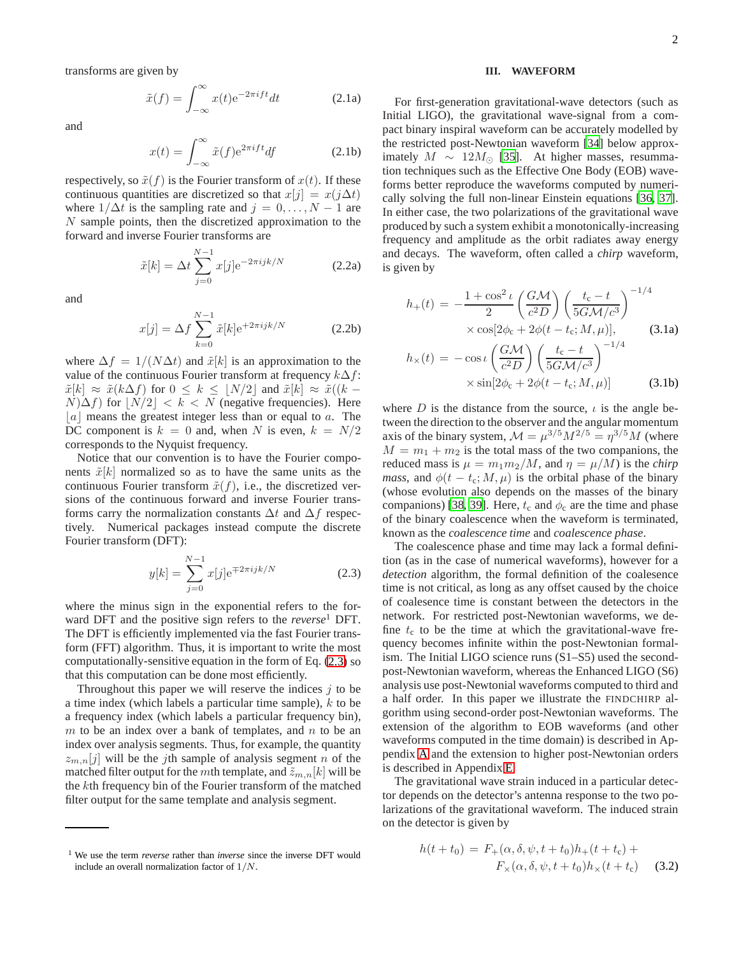transforms are given by

$$
\tilde{x}(f) = \int_{-\infty}^{\infty} x(t)e^{-2\pi i f t} dt
$$
\n(2.1a)

and

$$
x(t) = \int_{-\infty}^{\infty} \tilde{x}(f) e^{2\pi i f t} df
$$
 (2.1b)

respectively, so  $\tilde{x}(f)$  is the Fourier transform of  $x(t)$ . If these continuous quantities are discretized so that  $x[j] = x(j\Delta t)$ where  $1/\Delta t$  is the sampling rate and  $j = 0, \ldots, N - 1$  are N sample points, then the discretized approximation to the forward and inverse Fourier transforms are

$$
\tilde{x}[k] = \Delta t \sum_{j=0}^{N-1} x[j] \mathrm{e}^{-2\pi i jk/N} \tag{2.2a}
$$

and

$$
x[j] = \Delta f \sum_{k=0}^{N-1} \tilde{x}[k] e^{+2\pi i j k/N}
$$
 (2.2b)

where  $\Delta f = 1/(N\Delta t)$  and  $\tilde{x}[k]$  is an approximation to the value of the continuous Fourier transform at frequency  $k\Delta f$ :  $\tilde{x}[k] \approx \tilde{x}(k\Delta f)$  for  $0 \leq k \leq \lfloor N/2 \rfloor$  and  $\tilde{x}[k] \approx \tilde{x}((k N|\Delta f|$  for  $|N/2| < k < N$  (negative frequencies). Here  $|a|$  means the greatest integer less than or equal to a. The DC component is  $k = 0$  and, when N is even,  $k = N/2$ corresponds to the Nyquist frequency.

Notice that our convention is to have the Fourier components  $\tilde{x}[k]$  normalized so as to have the same units as the continuous Fourier transform  $\tilde{x}(f)$ , i.e., the discretized versions of the continuous forward and inverse Fourier transforms carry the normalization constants  $\Delta t$  and  $\Delta f$  respectively. Numerical packages instead compute the discrete Fourier transform (DFT):

<span id="page-1-0"></span>
$$
y[k] = \sum_{j=0}^{N-1} x[j] e^{\mp 2\pi i jk/N}
$$
 (2.3)

where the minus sign in the exponential refers to the forward DFT and the positive sign refers to the *reverse*<sup>1</sup> DFT. The DFT is efficiently implemented via the fast Fourier transform (FFT) algorithm. Thus, it is important to write the most computationally-sensitive equation in the form of Eq. [\(2.3\)](#page-1-0) so that this computation can be done most efficiently.

Throughout this paper we will reserve the indices  $j$  to be a time index (which labels a particular time sample),  $k$  to be a frequency index (which labels a particular frequency bin),  $m$  to be an index over a bank of templates, and  $n$  to be an index over analysis segments. Thus, for example, the quantity  $z_{m,n}[j]$  will be the jth sample of analysis segment n of the matched filter output for the *m*th template, and  $\tilde{z}_{m,n}[k]$  will be the kth frequency bin of the Fourier transform of the matched filter output for the same template and analysis segment.

## <span id="page-1-1"></span>**III. WAVEFORM**

For first-generation gravitational-wave detectors (such as Initial LIGO), the gravitational wave-signal from a compact binary inspiral waveform can be accurately modelled by the restricted post-Newtonian waveform [\[34\]](#page-16-1) below approximately  $M \sim 12 M_{\odot}$  [\[35](#page-16-2)]. At higher masses, resummation techniques such as the Effective One Body (EOB) waveforms better reproduce the waveforms computed by numerically solving the full non-linear Einstein equations [\[36,](#page-16-3) [37](#page-16-4)]. In either case, the two polarizations of the gravitational wave produced by such a system exhibit a monotonically-increasing frequency and amplitude as the orbit radiates away energy and decays. The waveform, often called a *chirp* waveform, is given by

$$
h_{+}(t) = -\frac{1+\cos^{2} \iota}{2} \left(\frac{G\mathcal{M}}{c^{2}D}\right) \left(\frac{t_{c}-t}{5G\mathcal{M}/c^{3}}\right)^{-1/4}
$$

$$
\times \cos[2\phi_{c} + 2\phi(t - t_{c}; \mathcal{M}, \mu)], \qquad (3.1a)
$$

$$
h_{\times}(t) = -\cos\iota\left(\frac{G\mathcal{M}}{c^{2}D}\right) \left(\frac{t_{c}-t}{5G\mathcal{M}/c^{3}}\right)^{-1/4}
$$

$$
\times \sin[2\phi_c + 2\phi(t - t_c; M, \mu)] \tag{3.1b}
$$

where D is the distance from the source,  $\iota$  is the angle between the direction to the observer and the angular momentum axis of the binary system,  $\mathcal{M} = \mu^{3/5} M^{2/5} = \eta^{3/5} M$  (where  $M = m_1 + m_2$  is the total mass of the two companions, the reduced mass is  $\mu = m_1 m_2 / M$ , and  $\eta = \mu / M$ ) is the *chirp mass*, and  $\phi(t - t_c; M, \mu)$  is the orbital phase of the binary (whose evolution also depends on the masses of the binary companions) [\[38,](#page-16-5) [39\]](#page-16-6). Here,  $t_c$  and  $\phi_c$  are the time and phase of the binary coalescence when the waveform is terminated, known as the *coalescence time* and *coalescence phase*.

The coalescence phase and time may lack a formal definition (as in the case of numerical waveforms), however for a *detection* algorithm, the formal definition of the coalesence time is not critical, as long as any offset caused by the choice of coalesence time is constant between the detectors in the network. For restricted post-Newtonian waveforms, we define  $t_c$  to be the time at which the gravitational-wave frequency becomes infinite within the post-Newtonian formalism. The Initial LIGO science runs (S1–S5) used the secondpost-Newtonian waveform, whereas the Enhanced LIGO (S6) analysis use post-Newtonial waveforms computed to third and a half order. In this paper we illustrate the FINDCHIRP algorithm using second-order post-Newtonian waveforms. The extension of the algorithm to EOB waveforms (and other waveforms computed in the time domain) is described in Appendix [A](#page-11-0) and the extension to higher post-Newtonian orders is described in Appendix [E.](#page-14-0)

The gravitational wave strain induced in a particular detector depends on the detector's antenna response to the two polarizations of the gravitational waveform. The induced strain on the detector is given by

$$
h(t+t_0) = F_{+}(\alpha, \delta, \psi, t+t_0)h_{+}(t+t_c) +
$$
  

$$
F_{\times}(\alpha, \delta, \psi, t+t_0)h_{\times}(t+t_c)
$$
 (3.2)

<sup>1</sup> We use the term *reverse* rather than *inverse* since the inverse DFT would include an overall normalization factor of 1/N.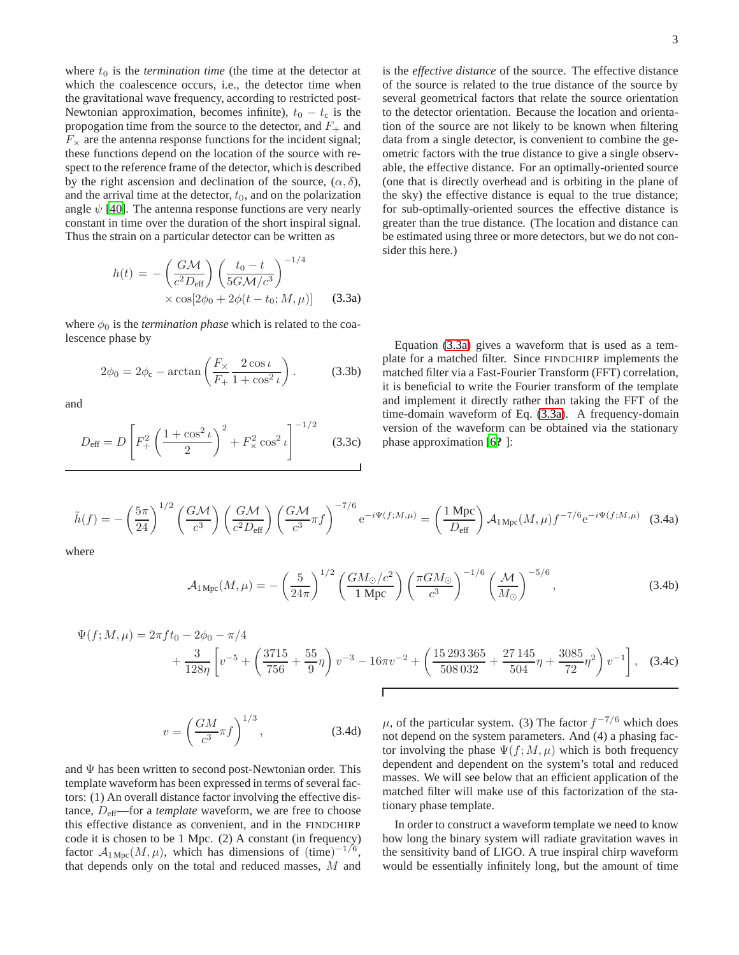where  $t_0$  is the *termination time* (the time at the detector at which the coalescence occurs, i.e., the detector time when the gravitational wave frequency, according to restricted post-Newtonian approximation, becomes infinite),  $t_0 - t_c$  is the propogation time from the source to the detector, and  $F_+$  and  $F_{\times}$  are the antenna response functions for the incident signal; these functions depend on the location of the source with respect to the reference frame of the detector, which is described by the right ascension and declination of the source,  $(\alpha, \delta)$ , and the arrival time at the detector,  $t_0$ , and on the polarization angle  $\psi$  [\[40\]](#page-16-7). The antenna response functions are very nearly constant in time over the duration of the short inspiral signal. Thus the strain on a particular detector can be written as

<span id="page-2-0"></span>
$$
h(t) = -\left(\frac{G\mathcal{M}}{c^2 D_{\text{eff}}}\right) \left(\frac{t_0 - t}{5G\mathcal{M}/c^3}\right)^{-1/4}
$$

$$
\times \cos[2\phi_0 + 2\phi(t - t_0; \mathcal{M}, \mu)] \qquad (3.3a)
$$

where  $\phi_0$  is the *termination phase* which is related to the coalescence phase by

$$
2\phi_0 = 2\phi_c - \arctan\left(\frac{F_\times}{F_+} \frac{2\cos\iota}{1 + \cos^2\iota}\right). \tag{3.3b}
$$

and

$$
D_{\text{eff}} = D \left[ F_+^2 \left( \frac{1 + \cos^2 \iota}{2} \right)^2 + F_\times^2 \cos^2 \iota \right]^{-1/2} \quad (3.3c)
$$

is the *effective distance* of the source. The effective distance of the source is related to the true distance of the source by several geometrical factors that relate the source orientation to the detector orientation. Because the location and orientation of the source are not likely to be known when filtering data from a single detector, is convenient to combine the geometric factors with the true distance to give a single observable, the effective distance. For an optimally-oriented source (one that is directly overhead and is orbiting in the plane of the sky) the effective distance is equal to the true distance; for sub-optimally-oriented sources the effective distance is greater than the true distance. (The location and distance can be estimated using three or more detectors, but we do not consider this here.)

Equation [\(3.3a\)](#page-2-0) gives a waveform that is used as a template for a matched filter. Since FINDCHIRP implements the matched filter via a Fast-Fourier Transform (FFT) correlation, it is beneficial to write the Fourier transform of the template and implement it directly rather than taking the FFT of the time-domain waveform of Eq. [\(3.3a\)](#page-2-0). A frequency-domain version of the waveform can be obtained via the stationary phase approximation [\[6](#page-15-5)**?** ]:

<span id="page-2-1"></span>
$$
\tilde{h}(f) = -\left(\frac{5\pi}{24}\right)^{1/2} \left(\frac{G\mathcal{M}}{c^3}\right) \left(\frac{G\mathcal{M}}{c^2 D_{\text{eff}}}\right) \left(\frac{G\mathcal{M}}{c^3}\pi f\right)^{-7/6} e^{-i\Psi(f;M,\mu)} = \left(\frac{1 \text{ Mpc}}{D_{\text{eff}}}\right) \mathcal{A}_{1 \text{ Mpc}}(M,\mu) f^{-7/6} e^{-i\Psi(f;M,\mu)} \tag{3.4a}
$$

where

<span id="page-2-2"></span>
$$
\mathcal{A}_{1 \text{ Mpc}}(M,\mu) = -\left(\frac{5}{24\pi}\right)^{1/2} \left(\frac{GM_{\odot}/c^2}{1 \text{ Mpc}}\right) \left(\frac{\pi GM_{\odot}}{c^3}\right)^{-1/6} \left(\frac{\mathcal{M}}{M_{\odot}}\right)^{-5/6},\tag{3.4b}
$$

$$
\Psi(f; M, \mu) = 2\pi f t_0 - 2\phi_0 - \pi/4
$$
  
+  $\frac{3}{128\eta} \left[ v^{-5} + \left( \frac{3715}{756} + \frac{55}{9} \eta \right) v^{-3} - 16\pi v^{-2} + \left( \frac{15293365}{508032} + \frac{27145}{504} \eta + \frac{3085}{72} \eta^2 \right) v^{-1} \right],$  (3.4c)

<span id="page-2-3"></span>
$$
v = \left(\frac{GM}{c^3}\pi f\right)^{1/3},\tag{3.4d}
$$

and  $\Psi$  has been written to second post-Newtonian order. This template waveform has been expressed in terms of several factors: (1) An overall distance factor involving the effective distance,  $D_{\text{eff}}$ —for a *template* waveform, we are free to choose this effective distance as convenient, and in the FINDCHIRP code it is chosen to be 1 Mpc. (2) A constant (in frequency) factor  $\mathcal{A}_{1 \text{ Mpc}}(M,\mu)$ , which has dimensions of  $(\text{time})^{-1/6}$ , that depends only on the total and reduced masses, M and

 $\mu$ , of the particular system. (3) The factor  $f^{-7/6}$  which does not depend on the system parameters. And (4) a phasing factor involving the phase  $\Psi(f; M, \mu)$  which is both frequency dependent and dependent on the system's total and reduced masses. We will see below that an efficient application of the matched filter will make use of this factorization of the stationary phase template.

In order to construct a waveform template we need to know how long the binary system will radiate gravitation waves in the sensitivity band of LIGO. A true inspiral chirp waveform would be essentially infinitely long, but the amount of time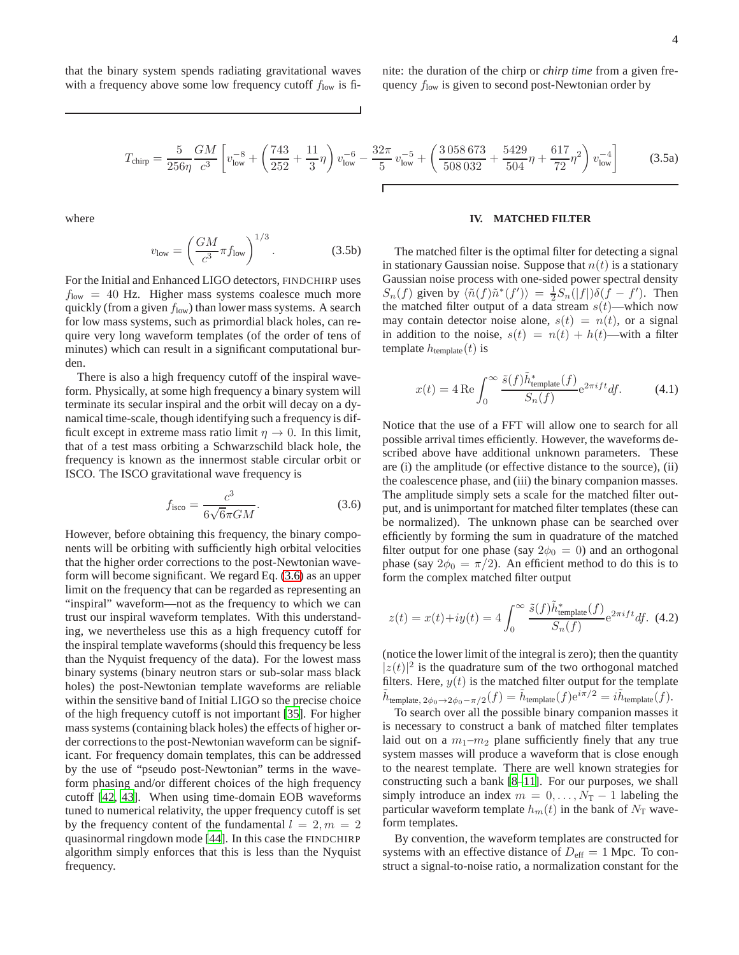that the binary system spends radiating gravitational waves with a frequency above some low frequency cutoff  $f_{\text{low}}$  is fi-

<span id="page-3-2"></span>
$$
T_{\text{chirp}} = \frac{5}{256\eta} \frac{GM}{c^3} \left[ v_{\text{low}}^{-8} + \left( \frac{743}{252} + \frac{11}{3} \eta \right) v_{\text{low}}^{-6} - \frac{32\pi}{5} v_{\text{low}}^{-5} + \left( \frac{3058673}{508032} + \frac{5429}{504} \eta + \frac{617}{72} \eta^2 \right) v_{\text{low}}^{-4} \right]
$$
(3.5a)

where

$$
v_{\text{low}} = \left(\frac{GM}{c^3}\pi f_{\text{low}}\right)^{1/3}.\tag{3.5b}
$$

For the Initial and Enhanced LIGO detectors, FINDCHIRP uses  $f_{\text{low}} = 40$  Hz. Higher mass systems coalesce much more quickly (from a given  $f_{low}$ ) than lower mass systems. A search for low mass systems, such as primordial black holes, can require very long waveform templates (of the order of tens of minutes) which can result in a significant computational burden.

There is also a high frequency cutoff of the inspiral waveform. Physically, at some high frequency a binary system will terminate its secular inspiral and the orbit will decay on a dynamical time-scale, though identifying such a frequency is difficult except in extreme mass ratio limit  $\eta \to 0$ . In this limit, that of a test mass orbiting a Schwarzschild black hole, the frequency is known as the innermost stable circular orbit or ISCO. The ISCO gravitational wave frequency is

<span id="page-3-0"></span>
$$
f_{\text{isco}} = \frac{c^3}{6\sqrt{6}\pi GM}.
$$
\n(3.6)

However, before obtaining this frequency, the binary components will be orbiting with sufficiently high orbital velocities that the higher order corrections to the post-Newtonian waveform will become significant. We regard Eq. [\(3.6\)](#page-3-0) as an upper limit on the frequency that can be regarded as representing an "inspiral" waveform—not as the frequency to which we can trust our inspiral waveform templates. With this understanding, we nevertheless use this as a high frequency cutoff for the inspiral template waveforms (should this frequency be less than the Nyquist frequency of the data). For the lowest mass binary systems (binary neutron stars or sub-solar mass black holes) the post-Newtonian template waveforms are reliable within the sensitive band of Initial LIGO so the precise choice of the high frequency cutoff is not important [\[35\]](#page-16-2). For higher mass systems (containing black holes) the effects of higher order corrections to the post-Newtonian waveform can be significant. For frequency domain templates, this can be addressed by the use of "pseudo post-Newtonian" terms in the waveform phasing and/or different choices of the high frequency cutoff [\[42,](#page-16-8) [43\]](#page-16-9). When using time-domain EOB waveforms tuned to numerical relativity, the upper frequency cutoff is set by the frequency content of the fundamental  $l = 2, m = 2$ quasinormal ringdown mode [\[44](#page-16-10)]. In this case the FINDCHIRP algorithm simply enforces that this is less than the Nyquist frequency.

# **IV. MATCHED FILTER**

The matched filter is the optimal filter for detecting a signal in stationary Gaussian noise. Suppose that  $n(t)$  is a stationary Gaussian noise process with one-sided power spectral density  $S_n(f)$  given by  $\langle \tilde{n}(f) \tilde{n}^*(f') \rangle = \frac{1}{2} S_n(|f|) \delta(f - f')$ . Then the matched filter output of a data stream  $s(t)$ —which now may contain detector noise alone,  $s(t) = n(t)$ , or a signal in addition to the noise,  $s(t) = n(t) + h(t)$ —with a filter template  $h$ <sub>template</sub> $(t)$  is

$$
x(t) = 4 \operatorname{Re} \int_0^\infty \frac{\tilde{s}(f)\tilde{h}_{\text{template}}^*(f)}{S_n(f)} e^{2\pi i f t} df. \tag{4.1}
$$

Notice that the use of a FFT will allow one to search for all possible arrival times efficiently. However, the waveforms described above have additional unknown parameters. These are (i) the amplitude (or effective distance to the source), (ii) the coalescence phase, and (iii) the binary companion masses. The amplitude simply sets a scale for the matched filter output, and is unimportant for matched filter templates (these can be normalized). The unknown phase can be searched over efficiently by forming the sum in quadrature of the matched filter output for one phase (say  $2\phi_0 = 0$ ) and an orthogonal phase (say  $2\phi_0 = \pi/2$ ). An efficient method to do this is to form the complex matched filter output

<span id="page-3-1"></span>
$$
z(t) = x(t) + iy(t) = 4 \int_0^\infty \frac{\tilde{s}(f)\tilde{h}_{\text{template}}^*(f)}{S_n(f)} e^{2\pi i f t} df. \tag{4.2}
$$

(notice the lower limit of the integral is zero); then the quantity  $|z(t)|^2$  is the quadrature sum of the two orthogonal matched filters. Here,  $y(t)$  is the matched filter output for the template  $\tilde{h}_{\text{template}, 2\phi_0 \to 2\phi_0 - \pi/2}(f) = \tilde{h}_{\text{template}}(f) e^{i\pi/2} = i \tilde{h}_{\text{template}}(f).$ 

To search over all the possible binary companion masses it is necessary to construct a bank of matched filter templates laid out on a  $m_1-m_2$  plane sufficiently finely that any true system masses will produce a waveform that is close enough to the nearest template. There are well known strategies for constructing such a bank [\[8](#page-15-20)[–11\]](#page-15-6). For our purposes, we shall simply introduce an index  $m = 0, \ldots, N<sub>T</sub> - 1$  labeling the particular waveform template  $h_m(t)$  in the bank of  $N_T$  waveform templates.

By convention, the waveform templates are constructed for systems with an effective distance of  $D_{\text{eff}} = 1$  Mpc. To construct a signal-to-noise ratio, a normalization constant for the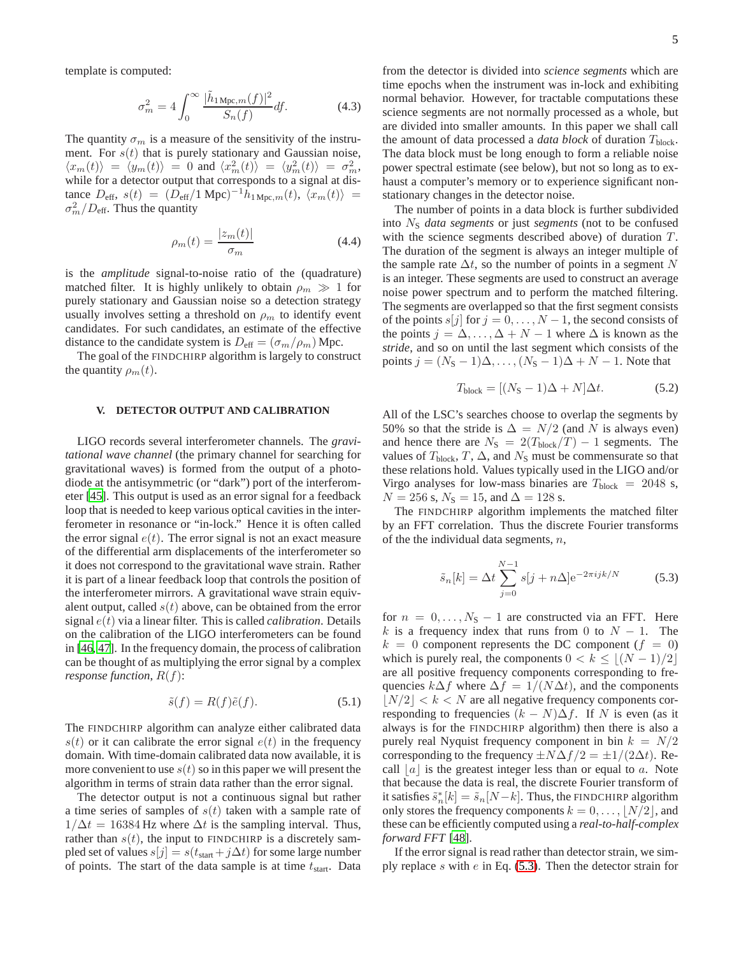template is computed:

$$
\sigma_m^2 = 4 \int_0^\infty \frac{|\tilde{h}_{1 \text{ Mpc},m}(f)|^2}{S_n(f)} df. \tag{4.3}
$$

The quantity  $\sigma_m$  is a measure of the sensitivity of the instrument. For  $s(t)$  that is purely stationary and Gaussian noise,  $\langle x_m(t) \rangle = \langle y_m(t) \rangle = 0$  and  $\langle x_m^2(t) \rangle = \langle y_m^2(t) \rangle = \sigma_m^2$ , while for a detector output that corresponds to a signal at distance  $D_{\text{eff}}$ ,  $s(t) = (D_{\text{eff}}/1 \text{ Mpc})^{-1} h_{1 \text{ Mpc},m}(t), \langle x_m(t) \rangle =$  $\sigma_m^2/D_{\text{eff}}$ . Thus the quantity

$$
\rho_m(t) = \frac{|z_m(t)|}{\sigma_m} \tag{4.4}
$$

is the *amplitude* signal-to-noise ratio of the (quadrature) matched filter. It is highly unlikely to obtain  $\rho_m \gg 1$  for purely stationary and Gaussian noise so a detection strategy usually involves setting a threshold on  $\rho_m$  to identify event candidates. For such candidates, an estimate of the effective distance to the candidate system is  $D_{\text{eff}} = (\sigma_m / \rho_m)$  Mpc.

The goal of the FINDCHIRP algorithm is largely to construct the quantity  $\rho_m(t)$ .

# **V. DETECTOR OUTPUT AND CALIBRATION**

LIGO records several interferometer channels. The *gravitational wave channel* (the primary channel for searching for gravitational waves) is formed from the output of a photodiode at the antisymmetric (or "dark") port of the interferometer [\[45\]](#page-16-11). This output is used as an error signal for a feedback loop that is needed to keep various optical cavities in the interferometer in resonance or "in-lock." Hence it is often called the error signal  $e(t)$ . The error signal is not an exact measure of the differential arm displacements of the interferometer so it does not correspond to the gravitational wave strain. Rather it is part of a linear feedback loop that controls the position of the interferometer mirrors. A gravitational wave strain equivalent output, called  $s(t)$  above, can be obtained from the error signal e(t) via a linear filter. This is called *calibration*. Details on the calibration of the LIGO interferometers can be found in [\[46,](#page-16-12) [47](#page-16-13)]. In the frequency domain, the process of calibration can be thought of as multiplying the error signal by a complex *response function,*  $R(f)$ :

$$
\tilde{s}(f) = R(f)\tilde{e}(f). \tag{5.1}
$$

The FINDCHIRP algorithm can analyze either calibrated data  $s(t)$  or it can calibrate the error signal  $e(t)$  in the frequency domain. With time-domain calibrated data now available, it is more convenient to use  $s(t)$  so in this paper we will present the algorithm in terms of strain data rather than the error signal.

The detector output is not a continuous signal but rather a time series of samples of  $s(t)$  taken with a sample rate of  $1/\Delta t = 16384$  Hz where  $\Delta t$  is the sampling interval. Thus, rather than  $s(t)$ , the input to FINDCHIRP is a discretely sampled set of values  $s[j] = s(t_{start}+j\Delta t)$  for some large number of points. The start of the data sample is at time  $t_{start}$ . Data

from the detector is divided into *science segments* which are time epochs when the instrument was in-lock and exhibiting normal behavior. However, for tractable computations these science segments are not normally processed as a whole, but are divided into smaller amounts. In this paper we shall call the amount of data processed a *data block* of duration T<sub>block</sub>. The data block must be long enough to form a reliable noise power spectral estimate (see below), but not so long as to exhaust a computer's memory or to experience significant nonstationary changes in the detector noise.

The number of points in a data block is further subdivided into N<sup>S</sup> *data segments* or just *segments* (not to be confused with the science segments described above) of duration  $T$ . The duration of the segment is always an integer multiple of the sample rate  $\Delta t$ , so the number of points in a segment N is an integer. These segments are used to construct an average noise power spectrum and to perform the matched filtering. The segments are overlapped so that the first segment consists of the points  $s[j]$  for  $j = 0, \ldots, N-1$ , the second consists of the points  $j = \Delta, \ldots, \Delta + N - 1$  where  $\Delta$  is known as the *stride*, and so on until the last segment which consists of the points  $j = (N<sub>S</sub> - 1)\Delta, \ldots, (N<sub>S</sub> - 1)\Delta + N - 1$ . Note that

<span id="page-4-1"></span>
$$
T_{\text{block}} = [(N_{\text{S}} - 1)\Delta + N]\Delta t. \tag{5.2}
$$

All of the LSC's searches choose to overlap the segments by 50% so that the stride is  $\Delta = N/2$  (and N is always even) and hence there are  $N_S = 2(T_{\text{block}}/T) - 1$  segments. The values of  $T_{block}$ ,  $T$ ,  $\Delta$ , and  $N_{S}$  must be commensurate so that these relations hold. Values typically used in the LIGO and/or Virgo analyses for low-mass binaries are  $T_{\text{block}} = 2048 \text{ s}$ ,  $N = 256$  s,  $N<sub>S</sub> = 15$ , and  $\Delta = 128$  s.

The FINDCHIRP algorithm implements the matched filter by an FFT correlation. Thus the discrete Fourier transforms of the the individual data segments,  $n$ ,

<span id="page-4-0"></span>
$$
\tilde{s}_n[k] = \Delta t \sum_{j=0}^{N-1} s[j + n\Delta] e^{-2\pi i jk/N}
$$
 (5.3)

for  $n = 0, \ldots, N_S - 1$  are constructed via an FFT. Here k is a frequency index that runs from 0 to  $N - 1$ . The  $k = 0$  component represents the DC component  $(f = 0)$ which is purely real, the components  $0 < k \leq |(N-1)/2|$ are all positive frequency components corresponding to frequencies  $k\Delta f$  where  $\Delta f = 1/(N\Delta t)$ , and the components  $|N/2| < k < N$  are all negative frequency components corresponding to frequencies  $(k - N)\Delta f$ . If N is even (as it always is for the FINDCHIRP algorithm) then there is also a purely real Nyquist frequency component in bin  $k = N/2$ corresponding to the frequency  $\pm N\Delta f/2 = \pm 1/(2\Delta t)$ . Recall  $|a|$  is the greatest integer less than or equal to a. Note that because the data is real, the discrete Fourier transform of it satisfies  $\tilde{s}_n^*[k] = \tilde{s}_n[N-k]$ . Thus, the FINDCHIRP algorithm only stores the frequency components  $k = 0, \ldots, |N/2|$ , and these can be efficiently computed using a *real-to-half-complex forward FFT* [\[48\]](#page-16-14).

If the error signal is read rather than detector strain, we simply replace s with  $e$  in Eq. [\(5.3\)](#page-4-0). Then the detector strain for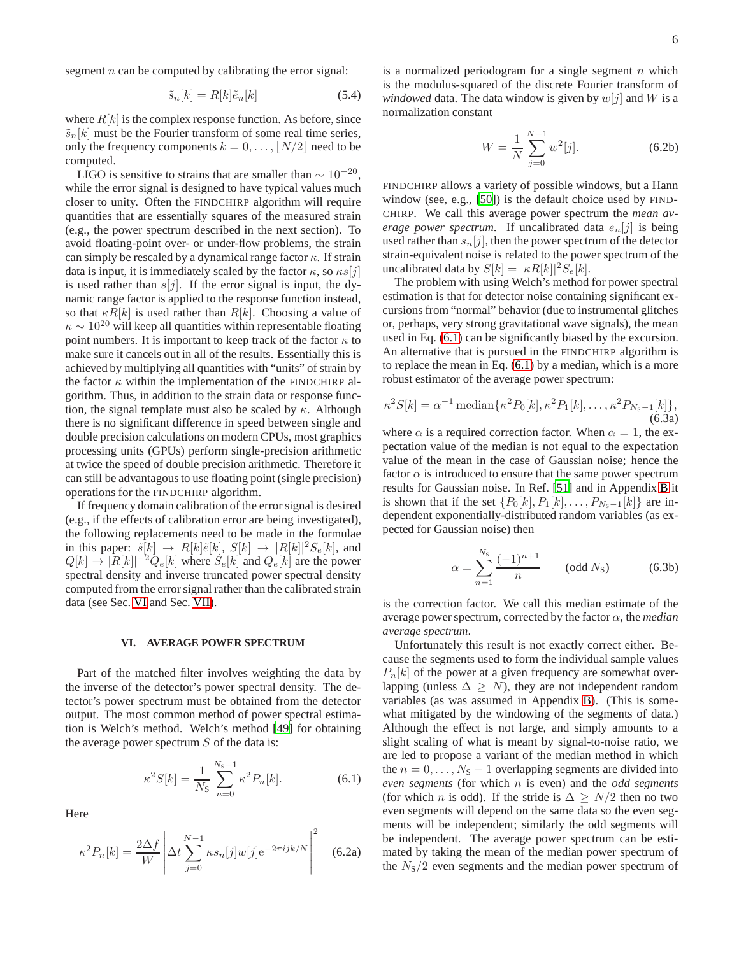segment  $n$  can be computed by calibrating the error signal:

$$
\tilde{s}_n[k] = R[k]\tilde{e}_n[k] \tag{5.4}
$$

where  $R[k]$  is the complex response function. As before, since  $\tilde{s}_n[k]$  must be the Fourier transform of some real time series, only the frequency components  $k = 0, \ldots, |N/2|$  need to be computed.

LIGO is sensitive to strains that are smaller than  $\sim 10^{-20}$ , while the error signal is designed to have typical values much closer to unity. Often the FINDCHIRP algorithm will require quantities that are essentially squares of the measured strain (e.g., the power spectrum described in the next section). To avoid floating-point over- or under-flow problems, the strain can simply be rescaled by a dynamical range factor  $\kappa$ . If strain data is input, it is immediately scaled by the factor  $\kappa$ , so  $\kappa s[j]$ is used rather than  $s[j]$ . If the error signal is input, the dynamic range factor is applied to the response function instead, so that  $\kappa R[k]$  is used rather than  $R[k]$ . Choosing a value of  $\kappa \sim 10^{20}$  will keep all quantities within representable floating point numbers. It is important to keep track of the factor  $\kappa$  to make sure it cancels out in all of the results. Essentially this is achieved by multiplying all quantities with "units" of strain by the factor  $\kappa$  within the implementation of the FINDCHIRP algorithm. Thus, in addition to the strain data or response function, the signal template must also be scaled by  $\kappa$ . Although there is no significant difference in speed between single and double precision calculations on modern CPUs, most graphics processing units (GPUs) perform single-precision arithmetic at twice the speed of double precision arithmetic. Therefore it can still be advantagous to use floating point (single precision) operations for the FINDCHIRP algorithm.

If frequency domain calibration of the error signal is desired (e.g., if the effects of calibration error are being investigated), the following replacements need to be made in the formulae in this paper:  $\tilde{s}[k] \rightarrow R[k]\tilde{e}[k], S[k] \rightarrow |R[k]|^2S_e[k]$ , and  $Q[k] \rightarrow |R[k]|^{-2} Q_e[k]$  where  $S_e[k]$  and  $Q_e[k]$  are the power spectral density and inverse truncated power spectral density computed from the error signal rather than the calibrated strain data (see Sec. [VI](#page-5-0) and Sec. [VII\)](#page-6-0).

# <span id="page-5-0"></span>**VI. AVERAGE POWER SPECTRUM**

Part of the matched filter involves weighting the data by the inverse of the detector's power spectral density. The detector's power spectrum must be obtained from the detector output. The most common method of power spectral estimation is Welch's method. Welch's method [\[49\]](#page-16-15) for obtaining the average power spectrum  $S$  of the data is:

<span id="page-5-1"></span>
$$
\kappa^2 S[k] = \frac{1}{N_S} \sum_{n=0}^{N_S - 1} \kappa^2 P_n[k]. \tag{6.1}
$$

Here

<span id="page-5-2"></span>
$$
\kappa^2 P_n[k] = \frac{2\Delta f}{W} \left| \Delta t \sum_{j=0}^{N-1} \kappa s_n[j] w[j] e^{-2\pi i jk/N} \right|^2 \quad (6.2a)
$$

is a normalized periodogram for a single segment  $n$  which is the modulus-squared of the discrete Fourier transform of *windowed* data. The data window is given by  $w[j]$  and W is a normalization constant

$$
W = \frac{1}{N} \sum_{j=0}^{N-1} w^2[j].
$$
 (6.2b)

FINDCHIRP allows a variety of possible windows, but a Hann window (see, e.g., [\[50\]](#page-16-16)) is the default choice used by FIND-CHIRP. We call this average power spectrum the *mean average power spectrum.* If uncalibrated data  $e_n[j]$  is being used rather than  $s_n[j]$ , then the power spectrum of the detector strain-equivalent noise is related to the power spectrum of the uncalibrated data by  $S[k] = |\kappa R[k]|^2 S_e[k]$ .

The problem with using Welch's method for power spectral estimation is that for detector noise containing significant excursions from "normal" behavior (due to instrumental glitches or, perhaps, very strong gravitational wave signals), the mean used in Eq. [\(6.1\)](#page-5-1) can be significantly biased by the excursion. An alternative that is pursued in the FINDCHIRP algorithm is to replace the mean in Eq. [\(6.1\)](#page-5-1) by a median, which is a more robust estimator of the average power spectrum:

<span id="page-5-3"></span>
$$
\kappa^2 S[k] = \alpha^{-1} \operatorname{median}\{\kappa^2 P_0[k], \kappa^2 P_1[k], \dots, \kappa^2 P_{N_{\rm S}-1}[k]\},\tag{6.3a}
$$

where  $\alpha$  is a required correction factor. When  $\alpha = 1$ , the expectation value of the median is not equal to the expectation value of the mean in the case of Gaussian noise; hence the factor  $\alpha$  is introduced to ensure that the same power spectrum results for Gaussian noise. In Ref. [\[51](#page-16-17)] and in Appendix [B](#page-12-0) it is shown that if the set  $\{P_0[k], P_1[k], \ldots, P_{N_S-1}[k]\}$  are independent exponentially-distributed random variables (as expected for Gaussian noise) then

$$
\alpha = \sum_{n=1}^{N_{\rm S}} \frac{(-1)^{n+1}}{n} \qquad \text{(odd } N_{\rm S}) \tag{6.3b}
$$

is the correction factor. We call this median estimate of the average power spectrum, corrected by the factor  $\alpha$ , the *median average spectrum*.

Unfortunately this result is not exactly correct either. Because the segments used to form the individual sample values  $P_n[k]$  of the power at a given frequency are somewhat overlapping (unless  $\Delta \geq N$ ), they are not independent random variables (as was assumed in Appendix [B\)](#page-12-0). (This is somewhat mitigated by the windowing of the segments of data.) Although the effect is not large, and simply amounts to a slight scaling of what is meant by signal-to-noise ratio, we are led to propose a variant of the median method in which the  $n = 0, \ldots, N_S - 1$  overlapping segments are divided into *even segments* (for which n is even) and the *odd segments* (for which *n* is odd). If the stride is  $\Delta > N/2$  then no two even segments will depend on the same data so the even segments will be independent; similarly the odd segments will be independent. The average power spectrum can be estimated by taking the mean of the median power spectrum of the  $N<sub>S</sub>/2$  even segments and the median power spectrum of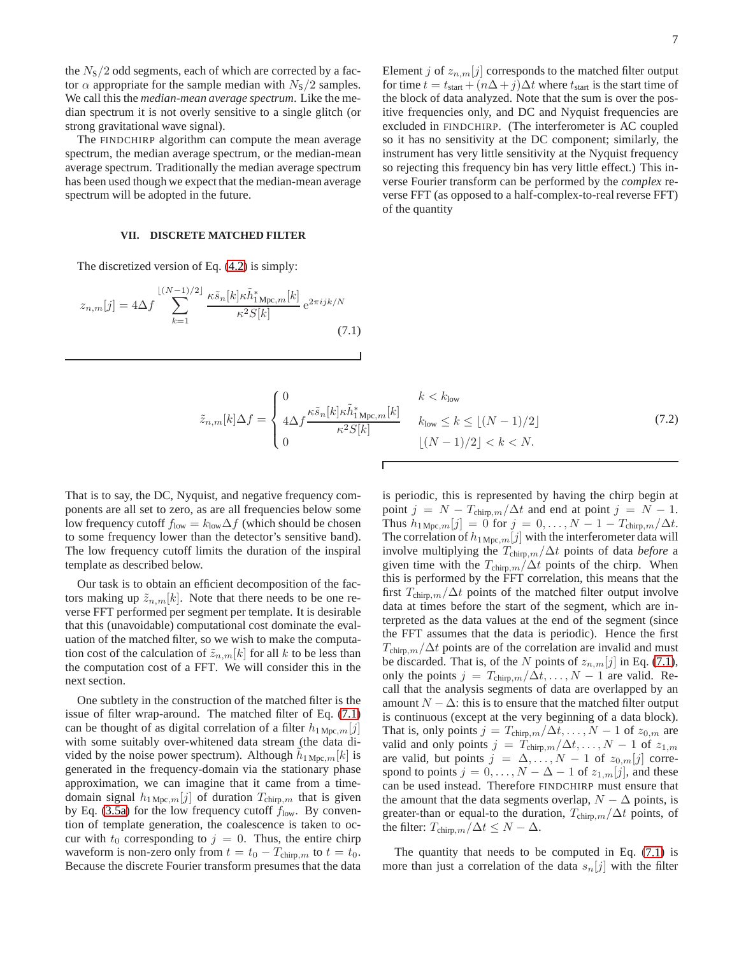the  $N<sub>S</sub>/2$  odd segments, each of which are corrected by a factor  $\alpha$  appropriate for the sample median with  $N<sub>S</sub>/2$  samples. We call this the *median-mean average spectrum*. Like the median spectrum it is not overly sensitive to a single glitch (or strong gravitational wave signal).

The FINDCHIRP algorithm can compute the mean average spectrum, the median average spectrum, or the median-mean average spectrum. Traditionally the median average spectrum has been used though we expect that the median-mean average spectrum will be adopted in the future.

### <span id="page-6-0"></span>**VII. DISCRETE MATCHED FILTER**

The discretized version of Eq. [\(4.2\)](#page-3-1) is simply:

<span id="page-6-1"></span>
$$
z_{n,m}[j] = 4\Delta f \sum_{k=1}^{\lfloor (N-1)/2 \rfloor} \frac{\kappa \tilde{s}_n[k] \kappa \tilde{h}_{1\,\text{Mpc},m}^*[k]}{\kappa^2 S[k]} e^{2\pi i jk/N}
$$
\n(7.1)

Element j of  $z_{n,m}[j]$  corresponds to the matched filter output for time  $t = t_{start} + (n\Delta + j)\Delta t$  where  $t_{start}$  is the start time of the block of data analyzed. Note that the sum is over the positive frequencies only, and DC and Nyquist frequencies are excluded in FINDCHIRP. (The interferometer is AC coupled so it has no sensitivity at the DC component; similarly, the instrument has very little sensitivity at the Nyquist frequency so rejecting this frequency bin has very little effect.) This inverse Fourier transform can be performed by the *complex* reverse FFT (as opposed to a half-complex-to-real reverse FFT) of the quantity

$$
\tilde{z}_{n,m}[k]\Delta f = \begin{cases}\n0 & k < k_{\text{low}} \\
4\Delta f \frac{\kappa \tilde{s}_n[k]\kappa \tilde{h}_{1\,\text{Mpc},m}^*[k]}{\kappa^2 S[k]} & k_{\text{low}} \le k \le \lfloor (N-1)/2 \rfloor \\
0 & \lfloor (N-1)/2 \rfloor < k < N.\n\end{cases} \tag{7.2}
$$

That is to say, the DC, Nyquist, and negative frequency components are all set to zero, as are all frequencies below some low frequency cutoff  $f_{\text{low}} = k_{\text{low}} \Delta f$  (which should be chosen to some frequency lower than the detector's sensitive band). The low frequency cutoff limits the duration of the inspiral template as described below.

Our task is to obtain an efficient decomposition of the factors making up  $\tilde{z}_{n,m}[k]$ . Note that there needs to be one reverse FFT performed per segment per template. It is desirable that this (unavoidable) computational cost dominate the evaluation of the matched filter, so we wish to make the computation cost of the calculation of  $\tilde{z}_{n,m}[k]$  for all k to be less than the computation cost of a FFT. We will consider this in the next section.

One subtlety in the construction of the matched filter is the issue of filter wrap-around. The matched filter of Eq. [\(7.1\)](#page-6-1) can be thought of as digital correlation of a filter  $h_{1 \text{ Mpc},m}[j]$ with some suitably over-whitened data stream (the data divided by the noise power spectrum). Although  $\tilde{h}_{1 \text{Mpc},m}[k]$  is generated in the frequency-domain via the stationary phase approximation, we can imagine that it came from a timedomain signal  $h_1{}_{\text{Mpc},m}[j]$  of duration  $T_{\text{chirp},m}$  that is given by Eq. [\(3.5a\)](#page-3-2) for the low frequency cutoff  $f_{\text{low}}$ . By convention of template generation, the coalescence is taken to occur with  $t_0$  corresponding to  $j = 0$ . Thus, the entire chirp waveform is non-zero only from  $t = t_0 - T_{\text{chirp},m}$  to  $t = t_0$ . Because the discrete Fourier transform presumes that the data

is periodic, this is represented by having the chirp begin at point  $j = N - T_{\text{chirp},m}/\Delta t$  and end at point  $j = N - 1$ . Thus  $h_{1 \text{Mpc},m}[j] = 0$  for  $j = 0, \ldots, N-1-T_{\text{chirp},m}/\Delta t$ . The correlation of  $h_1_{\text{Mpc},m}[j]$  with the interferometer data will involve multiplying the  $T_{\text{chirp},m}/\Delta t$  points of data *before* a given time with the  $T_{\text{chirp},m}/\Delta t$  points of the chirp. When this is performed by the FFT correlation, this means that the first  $T_{\text{chirp},m}/\Delta t$  points of the matched filter output involve data at times before the start of the segment, which are interpreted as the data values at the end of the segment (since the FFT assumes that the data is periodic). Hence the first  $T_{\text{chirp},m}/\Delta t$  points are of the correlation are invalid and must be discarded. That is, of the N points of  $z_{n,m}[j]$  in Eq. [\(7.1\)](#page-6-1), only the points  $j = T_{\text{chirp},m}/\Delta t, \ldots, N-1$  are valid. Recall that the analysis segments of data are overlapped by an amount  $N - \Delta$ : this is to ensure that the matched filter output is continuous (except at the very beginning of a data block). That is, only points  $j = T_{\text{chirp},m}/\Delta t, \ldots, N-1$  of  $z_{0,m}$  are valid and only points  $j = T_{\text{chirp},m}/\Delta t, \ldots, N-1$  of  $z_{1,m}$ are valid, but points  $j = \Delta, \ldots, N - 1$  of  $z_{0,m}[j]$  correspond to points  $j = 0, \ldots, N - \Delta - 1$  of  $z_{1,m}[j]$ , and these can be used instead. Therefore FINDCHIRP must ensure that the amount that the data segments overlap,  $N - \Delta$  points, is greater-than or equal-to the duration,  $T_{\text{chirp},m}/\Delta t$  points, of the filter:  $T_{\text{chirp},m}/\Delta t \leq N - \Delta$ .

The quantity that needs to be computed in Eq. [\(7.1\)](#page-6-1) is more than just a correlation of the data  $s_n[j]$  with the filter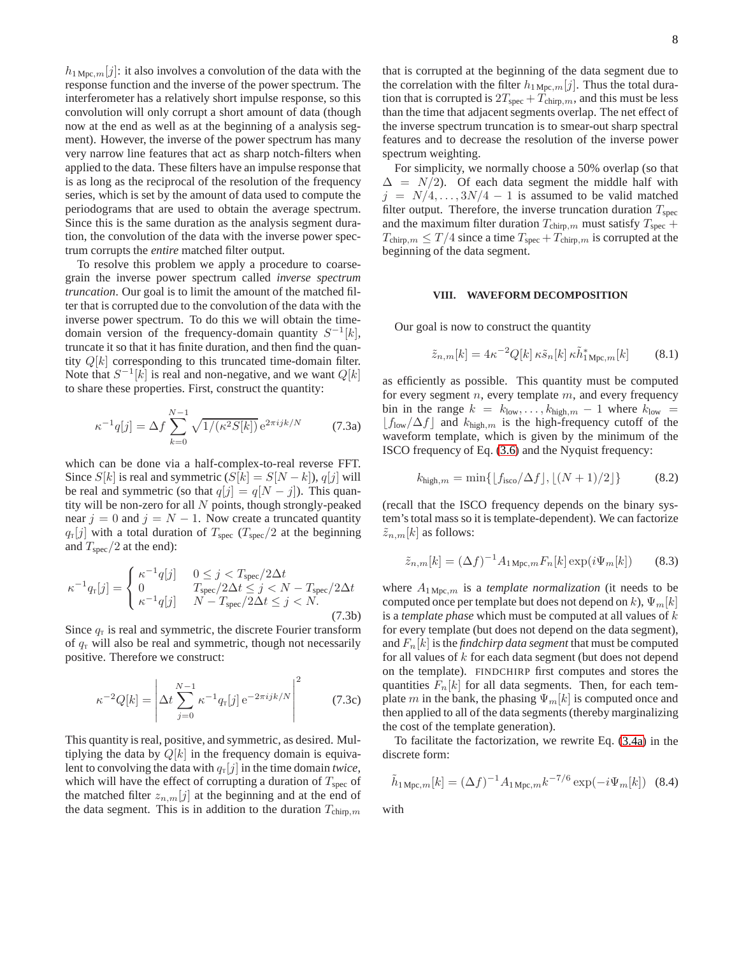$h_{1 \text{Mpc},m}[j]$ : it also involves a convolution of the data with the response function and the inverse of the power spectrum. The interferometer has a relatively short impulse response, so this convolution will only corrupt a short amount of data (though now at the end as well as at the beginning of a analysis segment). However, the inverse of the power spectrum has many very narrow line features that act as sharp notch-filters when applied to the data. These filters have an impulse response that is as long as the reciprocal of the resolution of the frequency series, which is set by the amount of data used to compute the periodograms that are used to obtain the average spectrum. Since this is the same duration as the analysis segment duration, the convolution of the data with the inverse power spectrum corrupts the *entire* matched filter output.

To resolve this problem we apply a procedure to coarsegrain the inverse power spectrum called *inverse spectrum truncation*. Our goal is to limit the amount of the matched filter that is corrupted due to the convolution of the data with the inverse power spectrum. To do this we will obtain the timedomain version of the frequency-domain quantity  $S^{-1}[k]$ , truncate it so that it has finite duration, and then find the quantity  $Q[k]$  corresponding to this truncated time-domain filter. Note that  $S^{-1}[k]$  is real and non-negative, and we want  $Q[k]$ to share these properties. First, construct the quantity:

$$
\kappa^{-1}q[j] = \Delta f \sum_{k=0}^{N-1} \sqrt{1/(\kappa^2 S[k])} e^{2\pi i jk/N}
$$
 (7.3a)

which can be done via a half-complex-to-real reverse FFT. Since  $S[k]$  is real and symmetric  $(S[k] = S[N-k])$ ,  $q[j]$  will be real and symmetric (so that  $q[j] = q[N - j]$ ). This quantity will be non-zero for all  $N$  points, though strongly-peaked near  $j = 0$  and  $j = N - 1$ . Now create a truncated quantity  $q_{\text{\tiny T}}[j]$  with a total duration of  $T_{\text{spec}}$  ( $T_{\text{spec}}/2$  at the beginning and  $T_{\text{spec}}/2$  at the end):

$$
\kappa^{-1}q_{\rm T}[j] = \begin{cases}\n\kappa^{-1}q[j] & 0 \le j < T_{\rm spec}/2\Delta t \\
0 & T_{\rm spec}/2\Delta t \le j < N - T_{\rm spec}/2\Delta t \\
\kappa^{-1}q[j] & N - T_{\rm spec}/2\Delta t \le j < N.\n\end{cases}
$$
\n(7.3b)

Since  $q_T$  is real and symmetric, the discrete Fourier transform of  $q_T$  will also be real and symmetric, though not necessarily positive. Therefore we construct:

$$
\kappa^{-2} Q[k] = \left| \Delta t \sum_{j=0}^{N-1} \kappa^{-1} q_{\rm r}[j] \, \mathrm{e}^{-2\pi i j k/N} \right|^2 \tag{7.3c}
$$

This quantity is real, positive, and symmetric, as desired. Multiplying the data by  $Q[k]$  in the frequency domain is equivalent to convolving the data with  $q_T[j]$  in the time domain *twice*, which will have the effect of corrupting a duration of  $T_{\text{spec}}$  of the matched filter  $z_{n,m}[j]$  at the beginning and at the end of the data segment. This is in addition to the duration  $T_{\text{chirp},m}$ 

that is corrupted at the beginning of the data segment due to the correlation with the filter  $h_{1 \text{Mpc},m}[j]$ . Thus the total duration that is corrupted is  $2T_{\text{spec}} + T_{\text{chirp},m}$ , and this must be less than the time that adjacent segments overlap. The net effect of the inverse spectrum truncation is to smear-out sharp spectral features and to decrease the resolution of the inverse power spectrum weighting.

For simplicity, we normally choose a 50% overlap (so that  $\Delta = N/2$ ). Of each data segment the middle half with  $j = N/4, \ldots, 3N/4 - 1$  is assumed to be valid matched filter output. Therefore, the inverse truncation duration  $T_{\text{spec}}$ and the maximum filter duration  $T_{\text{chirp},m}$  must satisfy  $T_{\text{spec}}$  +  $T_{\text{chirp},m} \leq T/4$  since a time  $T_{\text{spec}} + T_{\text{chirp},m}$  is corrupted at the beginning of the data segment.

### <span id="page-7-2"></span>**VIII. WAVEFORM DECOMPOSITION**

Our goal is now to construct the quantity

$$
\tilde{z}_{n,m}[k] = 4\kappa^{-2} Q[k] \,\kappa \tilde{s}_n[k] \,\kappa \tilde{h}_{1 \,\mathrm{Mpc},m}^*[k] \tag{8.1}
$$

<span id="page-7-1"></span>as efficiently as possible. This quantity must be computed for every segment  $n$ , every template  $m$ , and every frequency bin in the range  $k = k_{\text{low}}, \ldots, k_{\text{high},m} - 1$  where  $k_{\text{low}} =$  $\lfloor f_{\text{low}}/\Delta f \rfloor$  and  $k_{\text{high},m}$  is the high-frequency cutoff of the waveform template, which is given by the minimum of the ISCO frequency of Eq. [\(3.6\)](#page-3-0) and the Nyquist frequency:

<span id="page-7-4"></span>
$$
k_{\text{high},m} = \min\{\lfloor f_{\text{isco}}/\Delta f \rfloor, \lfloor (N+1)/2 \rfloor\}
$$
 (8.2)

(recall that the ISCO frequency depends on the binary system's total mass so it is template-dependent). We can factorize  $\tilde{z}_{n,m}[k]$  as follows:

<span id="page-7-0"></span>
$$
\tilde{z}_{n,m}[k] = (\Delta f)^{-1} A_{1 \text{Mpc},m} F_n[k] \exp(i\Psi_m[k]) \qquad (8.3)
$$

where  $A_{1 \text{Mpc},m}$  is a *template normalization* (it needs to be computed once per template but does not depend on k),  $\Psi_m[k]$ is a *template phase* which must be computed at all values of k for every template (but does not depend on the data segment), and  $F_n[k]$  is the *findchirp data segment* that must be computed for all values of  $k$  for each data segment (but does not depend on the template). FINDCHIRP first computes and stores the quantities  $F_n[k]$  for all data segments. Then, for each template m in the bank, the phasing  $\Psi_m[k]$  is computed once and then applied to all of the data segments (thereby marginalizing the cost of the template generation).

To facilitate the factorization, we rewrite Eq. [\(3.4a\)](#page-2-1) in the discrete form:

$$
\tilde{h}_{1 \text{ Mpc},m}[k] = (\Delta f)^{-1} A_{1 \text{ Mpc},m} k^{-7/6} \exp(-i\Psi_m[k]) \quad (8.4)
$$

<span id="page-7-3"></span>with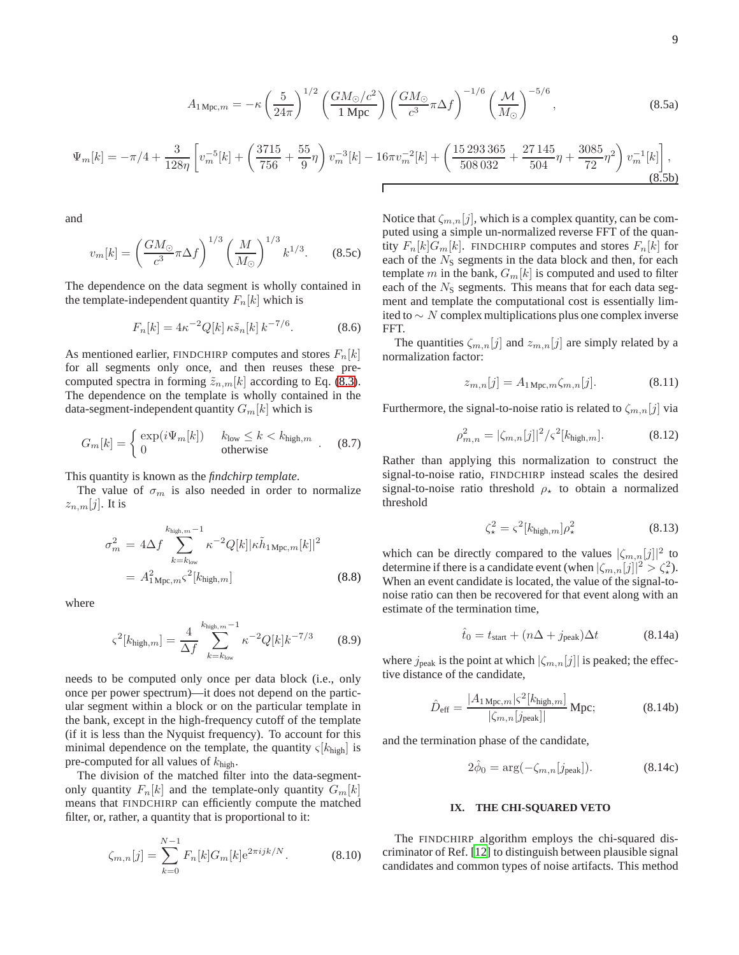$$
A_{1 \text{ Mpc},m} = -\kappa \left(\frac{5}{24\pi}\right)^{1/2} \left(\frac{GM_{\odot}/c^2}{1 \text{ Mpc}}\right) \left(\frac{GM_{\odot}}{c^3}\pi\Delta f\right)^{-1/6} \left(\frac{\mathcal{M}}{M_{\odot}}\right)^{-5/6},\tag{8.5a}
$$

<span id="page-8-5"></span>
$$
\Psi_m[k] = -\pi/4 + \frac{3}{128\eta} \left[ v_m^{-5}[k] + \left( \frac{3715}{756} + \frac{55}{9}\eta \right) v_m^{-3}[k] - 16\pi v_m^{-2}[k] + \left( \frac{15\,293\,365}{508\,032} + \frac{27\,145}{504}\eta + \frac{3085}{72}\eta^2 \right) v_m^{-1}[k] \right],\tag{8.5b}
$$

and

$$
v_m[k] = \left(\frac{GM_{\odot}}{c^3}\pi\Delta f\right)^{1/3} \left(\frac{M}{M_{\odot}}\right)^{1/3} k^{1/3}.
$$
 (8.5c)

The dependence on the data segment is wholly contained in the template-independent quantity  $F_n[k]$  which is

<span id="page-8-2"></span>
$$
F_n[k] = 4\kappa^{-2} Q[k] \kappa \tilde{s}_n[k] k^{-7/6}.
$$
 (8.6)

As mentioned earlier, FINDCHIRP computes and stores  $F_n[k]$ for all segments only once, and then reuses these precomputed spectra in forming  $\tilde{z}_{n,m}[k]$  according to Eq. [\(8.3\)](#page-7-0). The dependence on the template is wholly contained in the data-segment-independent quantity  $G_m[k]$  which is

<span id="page-8-4"></span>
$$
G_m[k] = \begin{cases} \exp(i\Psi_m[k]) & k_{\text{low}} \le k < k_{\text{high},m} \\ 0 & \text{otherwise} \end{cases} \tag{8.7}
$$

This quantity is known as the *findchirp template*.

The value of  $\sigma_m$  is also needed in order to normalize  $z_{n,m}[j]$ . It is

$$
\sigma_m^2 = 4\Delta f \sum_{k=k_{\text{low}}}^{k_{\text{high},m}-1} \kappa^{-2} Q[k] |\kappa \tilde{h}_{1 \text{ Mpc},m}[k]|^2
$$

$$
= A_{1 \text{ Mpc},m}^2 \zeta^2[k_{\text{high},m}] \qquad (8.8)
$$

where

<span id="page-8-3"></span>
$$
\varsigma^2[k_{\text{high},m}] = \frac{4}{\Delta f} \sum_{k=k_{\text{low}}}^{k_{\text{high},m}-1} \kappa^{-2} Q[k] k^{-7/3} \tag{8.9}
$$

needs to be computed only once per data block (i.e., only once per power spectrum)—it does not depend on the particular segment within a block or on the particular template in the bank, except in the high-frequency cutoff of the template (if it is less than the Nyquist frequency). To account for this minimal dependence on the template, the quantity  $\varsigma[k_{\text{high}}]$  is pre-computed for all values of  $k_{\text{high}}$ .

The division of the matched filter into the data-segmentonly quantity  $F_n[k]$  and the template-only quantity  $G_m[k]$ means that FINDCHIRP can efficiently compute the matched filter, or, rather, a quantity that is proportional to it:

<span id="page-8-0"></span>
$$
\zeta_{m,n}[j] = \sum_{k=0}^{N-1} F_n[k] G_m[k] e^{2\pi i j k/N}.
$$
 (8.10)

Notice that  $\zeta_{m,n}[j]$ , which is a complex quantity, can be computed using a simple un-normalized reverse FFT of the quantity  $F_n[k]G_m[k]$ . FINDCHIRP computes and stores  $F_n[k]$  for each of the  $N<sub>S</sub>$  segments in the data block and then, for each template  $m$  in the bank,  $\mathcal{G}_m[k]$  is computed and used to filter each of the  $N<sub>S</sub>$  segments. This means that for each data segment and template the computational cost is essentially limited to  $\sim$  N complex multiplications plus one complex inverse FFT.

The quantities  $\zeta_{m,n}[j]$  and  $z_{m,n}[j]$  are simply related by a normalization factor:

$$
z_{m,n}[j] = A_{1 \text{Mpc},m} \zeta_{m,n}[j]. \tag{8.11}
$$

Furthermore, the signal-to-noise ratio is related to  $\zeta_{m,n}[j]$  via

$$
\rho_{m,n}^2 = |\zeta_{m,n}[j]|^2 / \varsigma^2 [k_{\text{high},m}]. \tag{8.12}
$$

Rather than applying this normalization to construct the signal-to-noise ratio, FINDCHIRP instead scales the desired signal-to-noise ratio threshold  $\rho_{\star}$  to obtain a normalized threshold

<span id="page-8-1"></span>
$$
\zeta_{\star}^2 = \varsigma^2 [k_{\text{high},m}] \rho_{\star}^2 \tag{8.13}
$$

which can be directly compared to the values  $|\zeta_{m,n}[j]|^2$  to determine if there is a candidate event (when  $|\zeta_{m,n}[j]|^2 > \zeta_*^2$ ). When an event candidate is located, the value of the signal-tonoise ratio can then be recovered for that event along with an estimate of the termination time,

<span id="page-8-7"></span>
$$
\hat{t}_0 = t_{\text{start}} + (n\Delta + j_{\text{peak}})\Delta t \tag{8.14a}
$$

where  $j_{\text{peak}}$  is the point at which  $|\zeta_{m,n}[j]|$  is peaked; the effective distance of the candidate,

$$
\hat{D}_{\text{eff}} = \frac{|A_{1 \text{ Mpc}, m}| \varsigma^{2} [k_{\text{high}, m}]}{|\zeta_{m, n}[j_{\text{peak}}]|} \text{ Mpc};
$$
\n(8.14b)

and the termination phase of the candidate,

$$
2\hat{\phi}_0 = \arg(-\zeta_{m,n}[j_{\text{peak}}]). \tag{8.14c}
$$

# <span id="page-8-6"></span>**IX. THE CHI-SQUARED VETO**

The FINDCHIRP algorithm employs the chi-squared discriminator of Ref. [\[12\]](#page-15-7) to distinguish between plausible signal candidates and common types of noise artifacts. This method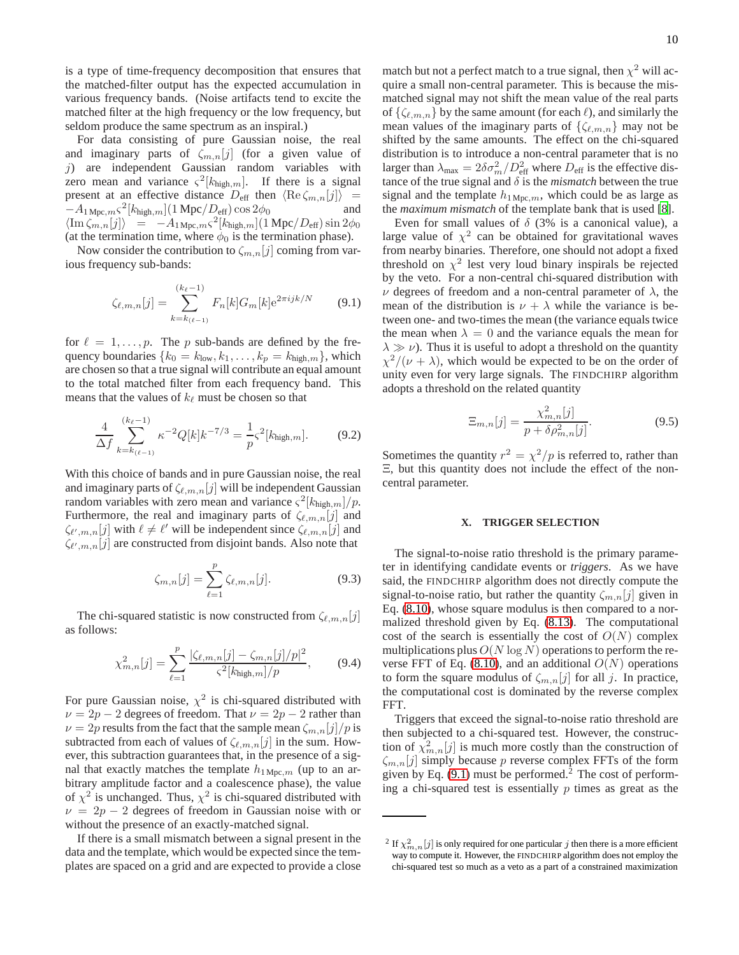is a type of time-frequency decomposition that ensures that the matched-filter output has the expected accumulation in various frequency bands. (Noise artifacts tend to excite the matched filter at the high frequency or the low frequency, but seldom produce the same spectrum as an inspiral.)

For data consisting of pure Gaussian noise, the real and imaginary parts of  $\zeta_{m,n}[j]$  (for a given value of j) are independent Gaussian random variables with zero mean and variance  $\varsigma^2[k_{\text{high},m}]$ . If there is a signal present at an effective distance  $D_{\text{eff}}$  then  $\langle \text{Re }\zeta_{m,n}[j] \rangle = -A_1 \text{Mpc } \kappa S^2[k_{\text{high}}] \cdot (1 \text{ Mpc}/D_{\text{eff}}) \cos 2\phi_0$  and  $-A_1$ <sub>Mpc, $mS^2[k_{\text{high},m}](1 \text{ Mpc}/D_{\text{eff}})\cos 2\phi_0$  and</sub>  $\langle \text{Im}\,\zeta_{m,n}[j]\rangle = -A_{1\,\text{Mpc},m} s^2[k_{\text{high},m}](1\,\text{Mpc}/D_{\text{eff}})\sin 2\phi_0$ (at the termination time, where  $\phi_0$  is the termination phase).

Now consider the contribution to  $\zeta_{m,n}[j]$  coming from various frequency sub-bands:

<span id="page-9-0"></span>
$$
\zeta_{\ell,m,n}[j] = \sum_{k=k_{(\ell-1)}}^{(k_{\ell}-1)} F_n[k] G_m[k] e^{2\pi i j k/N} \qquad (9.1)
$$

for  $\ell = 1, \ldots, p$ . The p sub-bands are defined by the frequency boundaries  ${k_0 = k_{low}, k_1, \ldots, k_p = k_{high,m}}$ , which are chosen so that a true signal will contribute an equal amount to the total matched filter from each frequency band. This means that the values of  $k_\ell$  must be chosen so that

$$
\frac{4}{\Delta f} \sum_{k=k_{(\ell-1)}}^{(k_{\ell}-1)} \kappa^{-2} Q[k] k^{-7/3} = \frac{1}{p} \varsigma^2[k_{\text{high},m}]. \tag{9.2}
$$

With this choice of bands and in pure Gaussian noise, the real and imaginary parts of  $\zeta_{\ell,m,n}[j]$  will be independent Gaussian random variables with zero mean and variance  $\zeta^2[k_{\text{high},m}]/p$ . Furthermore, the real and imaginary parts of  $\zeta_{\ell,m,n}[j]$  and  $\zeta_{\ell',m,n}[j]$  with  $\ell \neq \ell'$  will be independent since  $\zeta_{\ell,m,n}[j]$  and  $\zeta_{\ell',m,n}[j]$  are constructed from disjoint bands. Also note that

$$
\zeta_{m,n}[j] = \sum_{\ell=1}^{p} \zeta_{\ell,m,n}[j].
$$
\n(9.3)

The chi-squared statistic is now constructed from  $\zeta_{\ell,m,n}[j]$ as follows:

<span id="page-9-2"></span>
$$
\chi_{m,n}^2[j] = \sum_{\ell=1}^p \frac{|\zeta_{\ell,m,n}[j] - \zeta_{m,n}[j]/p|^2}{\zeta^2[k_{\text{high},m}]/p},\tag{9.4}
$$

For pure Gaussian noise,  $\chi^2$  is chi-squared distributed with  $\nu = 2p - 2$  degrees of freedom. That  $\nu = 2p - 2$  rather than  $\nu = 2p$  results from the fact that the sample mean  $\zeta_{m,n}[j]/p$  is subtracted from each of values of  $\zeta_{\ell,m,n}[j]$  in the sum. However, this subtraction guarantees that, in the presence of a signal that exactly matches the template  $h_{1 \text{ Mpc},m}$  (up to an arbitrary amplitude factor and a coalescence phase), the value of  $\chi^2$  is unchanged. Thus,  $\chi^2$  is chi-squared distributed with  $\nu = 2p - 2$  degrees of freedom in Gaussian noise with or without the presence of an exactly-matched signal.

If there is a small mismatch between a signal present in the data and the template, which would be expected since the templates are spaced on a grid and are expected to provide a close

match but not a perfect match to a true signal, then  $\chi^2$  will acquire a small non-central parameter. This is because the mismatched signal may not shift the mean value of the real parts of  $\{\zeta_{\ell,m,n}\}$  by the same amount (for each  $\ell$ ), and similarly the mean values of the imaginary parts of  $\{\zeta_{\ell,m,n}\}\$  may not be shifted by the same amounts. The effect on the chi-squared distribution is to introduce a non-central parameter that is no larger than  $\lambda_{\text{max}} = 2\delta\sigma_m^2/D_{\text{eff}}^2$  where  $D_{\text{eff}}$  is the effective distance of the true signal and  $\delta$  is the *mismatch* between the true signal and the template  $h_{1 \text{Mpc},m}$ , which could be as large as the *maximum mismatch* of the template bank that is used [\[8](#page-15-20)].

Even for small values of  $\delta$  (3% is a canonical value), a large value of  $\chi^2$  can be obtained for gravitational waves from nearby binaries. Therefore, one should not adopt a fixed threshold on  $\chi^2$  lest very loud binary inspirals be rejected by the veto. For a non-central chi-squared distribution with  $\nu$  degrees of freedom and a non-central parameter of  $\lambda$ , the mean of the distribution is  $\nu + \lambda$  while the variance is between one- and two-times the mean (the variance equals twice the mean when  $\lambda = 0$  and the variance equals the mean for  $\lambda \gg \nu$ ). Thus it is useful to adopt a threshold on the quantity  $\chi^2/(\nu + \lambda)$ , which would be expected to be on the order of unity even for very large signals. The FINDCHIRP algorithm adopts a threshold on the related quantity

<span id="page-9-3"></span>
$$
\Xi_{m,n}[j] = \frac{\chi_{m,n}^2[j]}{p + \delta \rho_{m,n}^2[j]}.
$$
\n(9.5)

Sometimes the quantity  $r^2 = \chi^2/p$  is referred to, rather than Ξ, but this quantity does not include the effect of the noncentral parameter.

# <span id="page-9-1"></span>**X. TRIGGER SELECTION**

The signal-to-noise ratio threshold is the primary parameter in identifying candidate events or *triggers*. As we have said, the FINDCHIRP algorithm does not directly compute the signal-to-noise ratio, but rather the quantity  $\zeta_{m,n}[j]$  given in Eq. [\(8.10\)](#page-8-0), whose square modulus is then compared to a normalized threshold given by Eq. [\(8.13\)](#page-8-1). The computational cost of the search is essentially the cost of  $O(N)$  complex multiplications plus  $O(N \log N)$  operations to perform the re-verse FFT of Eq. [\(8.10\)](#page-8-0), and an additional  $O(N)$  operations to form the square modulus of  $\zeta_{m,n}[j]$  for all j. In practice, the computational cost is dominated by the reverse complex FFT.

Triggers that exceed the signal-to-noise ratio threshold are then subjected to a chi-squared test. However, the construction of  $\chi^2_{m,n}[j]$  is much more costly than the construction of  $\zeta_{m,n}[j]$  simply because p reverse complex FFTs of the form given by Eq.  $(9.1)$  must be performed.<sup>2</sup> The cost of performing a chi-squared test is essentially  $p$  times as great as the

<sup>&</sup>lt;sup>2</sup> If  $\chi^2_{m,n}[j]$  is only required for one particular  $j$  then there is a more efficient way to compute it. However, the FINDCHIRP algorithm does not employ the chi-squared test so much as a veto as a part of a constrained maximization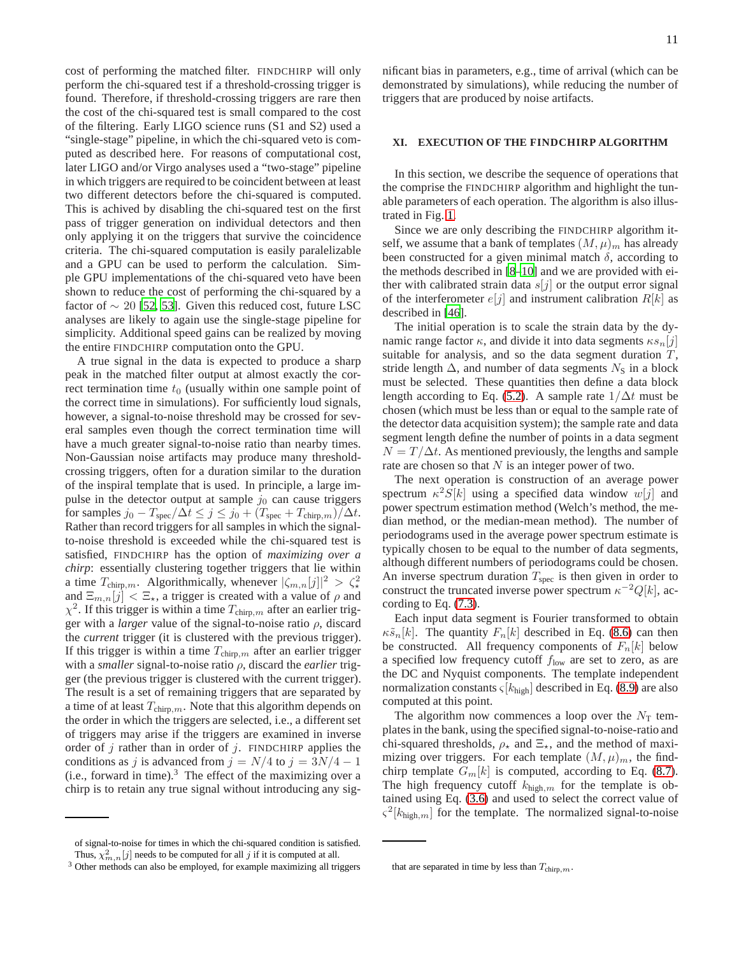cost of performing the matched filter. FINDCHIRP will only perform the chi-squared test if a threshold-crossing trigger is found. Therefore, if threshold-crossing triggers are rare then the cost of the chi-squared test is small compared to the cost of the filtering. Early LIGO science runs (S1 and S2) used a "single-stage" pipeline, in which the chi-squared veto is computed as described here. For reasons of computational cost, later LIGO and/or Virgo analyses used a "two-stage" pipeline in which triggers are required to be coincident between at least two different detectors before the chi-squared is computed. This is achived by disabling the chi-squared test on the first pass of trigger generation on individual detectors and then only applying it on the triggers that survive the coincidence criteria. The chi-squared computation is easily paralelizable and a GPU can be used to perform the calculation. Simple GPU implementations of the chi-squared veto have been shown to reduce the cost of performing the chi-squared by a factor of  $\sim 20$  [\[52,](#page-16-18) [53\]](#page-16-19). Given this reduced cost, future LSC analyses are likely to again use the single-stage pipeline for simplicity. Additional speed gains can be realized by moving the entire FINDCHIRP computation onto the GPU.

A true signal in the data is expected to produce a sharp peak in the matched filter output at almost exactly the correct termination time  $t_0$  (usually within one sample point of the correct time in simulations). For sufficiently loud signals, however, a signal-to-noise threshold may be crossed for several samples even though the correct termination time will have a much greater signal-to-noise ratio than nearby times. Non-Gaussian noise artifacts may produce many thresholdcrossing triggers, often for a duration similar to the duration of the inspiral template that is used. In principle, a large impulse in the detector output at sample  $j_0$  can cause triggers for samples  $j_0 - T_{\text{spec}}/\Delta t \le j \le j_0 + (T_{\text{spec}} + T_{\text{chirp},m})/\Delta t$ . Rather than record triggers for all samples in which the signalto-noise threshold is exceeded while the chi-squared test is satisfied, FINDCHIRP has the option of *maximizing over a chirp*: essentially clustering together triggers that lie within a time  $T_{\text{chirp},m}$ . Algorithmically, whenever  $|\zeta_{m,n}[j]|^2 > \zeta^2$ and  $\Xi_{m,n}[j] < \Xi_{\star}$ , a trigger is created with a value of  $\rho$  and  $\chi^2$ . If this trigger is within a time  $T_{\text{chirp},m}$  after an earlier trigger with a *larger* value of the signal-to-noise ratio ρ, discard the *current* trigger (it is clustered with the previous trigger). If this trigger is within a time  $T_{\text{chirp},m}$  after an earlier trigger with a *smaller* signal-to-noise ratio ρ, discard the *earlier* trigger (the previous trigger is clustered with the current trigger). The result is a set of remaining triggers that are separated by a time of at least  $T_{\text{chirp},m}$ . Note that this algorithm depends on the order in which the triggers are selected, i.e., a different set of triggers may arise if the triggers are examined in inverse order of  $j$  rather than in order of  $j$ . FINDCHIRP applies the conditions as j is advanced from  $j = N/4$  to  $j = 3N/4 - 1$ (i.e., forward in time). $3$  The effect of the maximizing over a chirp is to retain any true signal without introducing any sig-

of signal-to-noise for times in which the chi-squared condition is satisfied. Thus,  $\chi^2_{m,n}[j]$  needs to be computed for all j if it is computed at all.

<sup>3</sup> Other methods can also be employed, for example maximizing all triggers

nificant bias in parameters, e.g., time of arrival (which can be demonstrated by simulations), while reducing the number of triggers that are produced by noise artifacts.

# **XI. EXECUTION OF THE FINDCHIRP ALGORITHM**

In this section, we describe the sequence of operations that the comprise the FINDCHIRP algorithm and highlight the tunable parameters of each operation. The algorithm is also illustrated in Fig. [1.](#page-17-0)

Since we are only describing the FINDCHIRP algorithm itself, we assume that a bank of templates  $(M, \mu)_m$  has already been constructed for a given minimal match  $\delta$ , according to the methods described in [\[8](#page-15-20)[–10](#page-15-21)] and we are provided with either with calibrated strain data  $s[j]$  or the output error signal of the interferometer  $e[j]$  and instrument calibration  $R[k]$  as described in [\[46](#page-16-12)].

The initial operation is to scale the strain data by the dynamic range factor  $\kappa$ , and divide it into data segments  $\kappa s_n[j]$ suitable for analysis, and so the data segment duration  $T$ , stride length  $\Delta$ , and number of data segments  $N<sub>S</sub>$  in a block must be selected. These quantities then define a data block length according to Eq. [\(5.2\)](#page-4-1). A sample rate  $1/\Delta t$  must be chosen (which must be less than or equal to the sample rate of the detector data acquisition system); the sample rate and data segment length define the number of points in a data segment  $N = T/\Delta t$ . As mentioned previously, the lengths and sample rate are chosen so that  $N$  is an integer power of two.

The next operation is construction of an average power spectrum  $\kappa^2 S[k]$  using a specified data window  $w[j]$  and power spectrum estimation method (Welch's method, the median method, or the median-mean method). The number of periodograms used in the average power spectrum estimate is typically chosen to be equal to the number of data segments, although different numbers of periodograms could be chosen. An inverse spectrum duration  $T_{\text{spec}}$  is then given in order to construct the truncated inverse power spectrum  $\kappa^{-2}Q[k]$ , according to Eq. [\(7.3\)](#page-7-1).

Each input data segment is Fourier transformed to obtain  $\kappa \tilde{s}_n[k]$ . The quantity  $F_n[k]$  described in Eq. [\(8.6\)](#page-8-2) can then be constructed. All frequency components of  $F_n[k]$  below a specified low frequency cutoff  $f_{\text{low}}$  are set to zero, as are the DC and Nyquist components. The template independent normalization constants  $\varsigma[k_{\text{high}}]$  described in Eq. [\(8.9\)](#page-8-3) are also computed at this point.

The algorithm now commences a loop over the  $N<sub>T</sub>$  templates in the bank, using the specified signal-to-noise-ratio and chi-squared thresholds,  $\rho_{\star}$  and  $\Xi_{\star}$ , and the method of maximizing over triggers. For each template  $(M, \mu)_m$ , the findchirp template  $G_m[k]$  is computed, according to Eq. [\(8.7\)](#page-8-4). The high frequency cutoff  $k_{\text{high},m}$  for the template is obtained using Eq. [\(3.6\)](#page-3-0) and used to select the correct value of  $\varsigma^2[k_{\text{high},m}]$  for the template. The normalized signal-to-noise

that are separated in time by less than  $T_{\text{chirp},m}$ .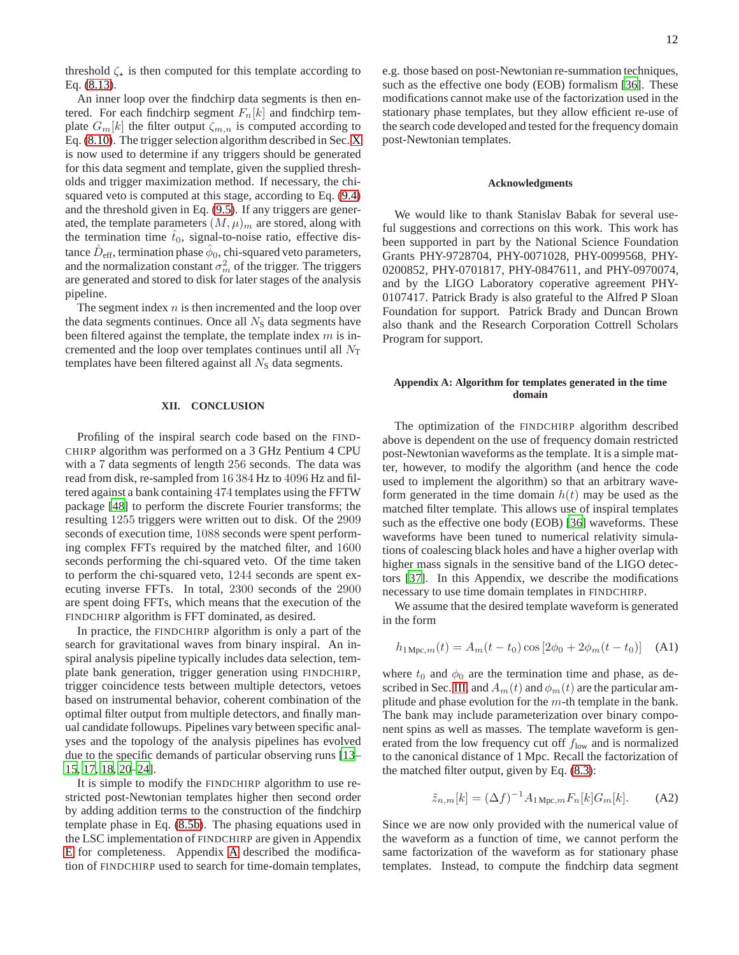threshold  $\zeta_{\star}$  is then computed for this template according to Eq. [\(8.13\)](#page-8-1).

An inner loop over the findchirp data segments is then entered. For each findchirp segment  $F_n[k]$  and findchirp template  $G_m[k]$  the filter output  $\zeta_{m,n}$  is computed according to Eq. [\(8.10\)](#page-8-0). The trigger selection algorithm described in Sec. [X](#page-9-1) is now used to determine if any triggers should be generated for this data segment and template, given the supplied thresholds and trigger maximization method. If necessary, the chisquared veto is computed at this stage, according to Eq. [\(9.4\)](#page-9-2) and the threshold given in Eq. [\(9.5\)](#page-9-3). If any triggers are generated, the template parameters  $(M, \mu)_m$  are stored, along with the termination time  $t_0$ , signal-to-noise ratio, effective distance  $\hat{D}_{\text{eff}},$  termination phase  $\hat{\phi}_0$ , chi-squared veto parameters, and the normalization constant  $\sigma_m^2$  of the trigger. The triggers are generated and stored to disk for later stages of the analysis pipeline.

The segment index  $n$  is then incremented and the loop over the data segments continues. Once all  $N<sub>S</sub>$  data segments have been filtered against the template, the template index  $m$  is incremented and the loop over templates continues until all  $N_T$ templates have been filtered against all  $N<sub>S</sub>$  data segments.

# **XII. CONCLUSION**

Profiling of the inspiral search code based on the FIND-CHIRP algorithm was performed on a 3 GHz Pentium 4 CPU with a 7 data segments of length 256 seconds. The data was read from disk, re-sampled from 16 384 Hz to 4096 Hz and filtered against a bank containing 474 templates using the FFTW package [\[48](#page-16-14)] to perform the discrete Fourier transforms; the resulting 1255 triggers were written out to disk. Of the 2909 seconds of execution time, 1088 seconds were spent performing complex FFTs required by the matched filter, and 1600 seconds performing the chi-squared veto. Of the time taken to perform the chi-squared veto, 1244 seconds are spent executing inverse FFTs. In total, 2300 seconds of the 2900 are spent doing FFTs, which means that the execution of the FINDCHIRP algorithm is FFT dominated, as desired.

In practice, the FINDCHIRP algorithm is only a part of the search for gravitational waves from binary inspiral. An inspiral analysis pipeline typically includes data selection, template bank generation, trigger generation using FINDCHIRP, trigger coincidence tests between multiple detectors, vetoes based on instrumental behavior, coherent combination of the optimal filter output from multiple detectors, and finally manual candidate followups. Pipelines vary between specific analyses and the topology of the analysis pipelines has evolved due to the specific demands of particular observing runs [\[13](#page-15-8)– [15,](#page-15-13) [17,](#page-15-14) [18,](#page-15-15) [20](#page-15-16)[–24\]](#page-15-9).

It is simple to modify the FINDCHIRP algorithm to use restricted post-Newtonian templates higher then second order by adding addition terms to the construction of the findchirp template phase in Eq. [\(8.5b\)](#page-8-5). The phasing equations used in the LSC implementation of FINDCHIRP are given in Appendix [E](#page-14-0) for completeness. Appendix [A](#page-11-0) described the modification of FINDCHIRP used to search for time-domain templates,

e.g. those based on post-Newtonian re-summation techniques, such as the effective one body (EOB) formalism [\[36](#page-16-3)]. These modifications cannot make use of the factorization used in the stationary phase templates, but they allow efficient re-use of the search code developed and tested for the frequency domain post-Newtonian templates.

### **Acknowledgments**

We would like to thank Stanislav Babak for several useful suggestions and corrections on this work. This work has been supported in part by the National Science Foundation Grants PHY-9728704, PHY-0071028, PHY-0099568, PHY-0200852, PHY-0701817, PHY-0847611, and PHY-0970074, and by the LIGO Laboratory coperative agreement PHY-0107417. Patrick Brady is also grateful to the Alfred P Sloan Foundation for support. Patrick Brady and Duncan Brown also thank and the Research Corporation Cottrell Scholars Program for support.

# <span id="page-11-0"></span>**Appendix A: Algorithm for templates generated in the time domain**

The optimization of the FINDCHIRP algorithm described above is dependent on the use of frequency domain restricted post-Newtonian waveforms as the template. It is a simple matter, however, to modify the algorithm (and hence the code used to implement the algorithm) so that an arbitrary waveform generated in the time domain  $h(t)$  may be used as the matched filter template. This allows use of inspiral templates such as the effective one body (EOB) [\[36\]](#page-16-3) waveforms. These waveforms have been tuned to numerical relativity simulations of coalescing black holes and have a higher overlap with higher mass signals in the sensitive band of the LIGO detectors [\[37](#page-16-4)]. In this Appendix, we describe the modifications necessary to use time domain templates in FINDCHIRP.

We assume that the desired template waveform is generated in the form

$$
h_{1 \text{Mpc},m}(t) = A_m(t - t_0) \cos [2\phi_0 + 2\phi_m(t - t_0)] \quad \text{(A1)}
$$

where  $t_0$  and  $\phi_0$  are the termination time and phase, as de-scribed in Sec. [III,](#page-1-1) and  $A_m(t)$  and  $\phi_m(t)$  are the particular amplitude and phase evolution for the  $m$ -th template in the bank. The bank may include parameterization over binary component spins as well as masses. The template waveform is generated from the low frequency cut off  $f_{\text{low}}$  and is normalized to the canonical distance of 1 Mpc. Recall the factorization of the matched filter output, given by Eq. [\(8.3\)](#page-7-0):

$$
\tilde{z}_{n,m}[k] = (\Delta f)^{-1} A_{1 \text{ Mpc},m} F_n[k] G_m[k]. \tag{A2}
$$

Since we are now only provided with the numerical value of the waveform as a function of time, we cannot perform the same factorization of the waveform as for stationary phase templates. Instead, to compute the findchirp data segment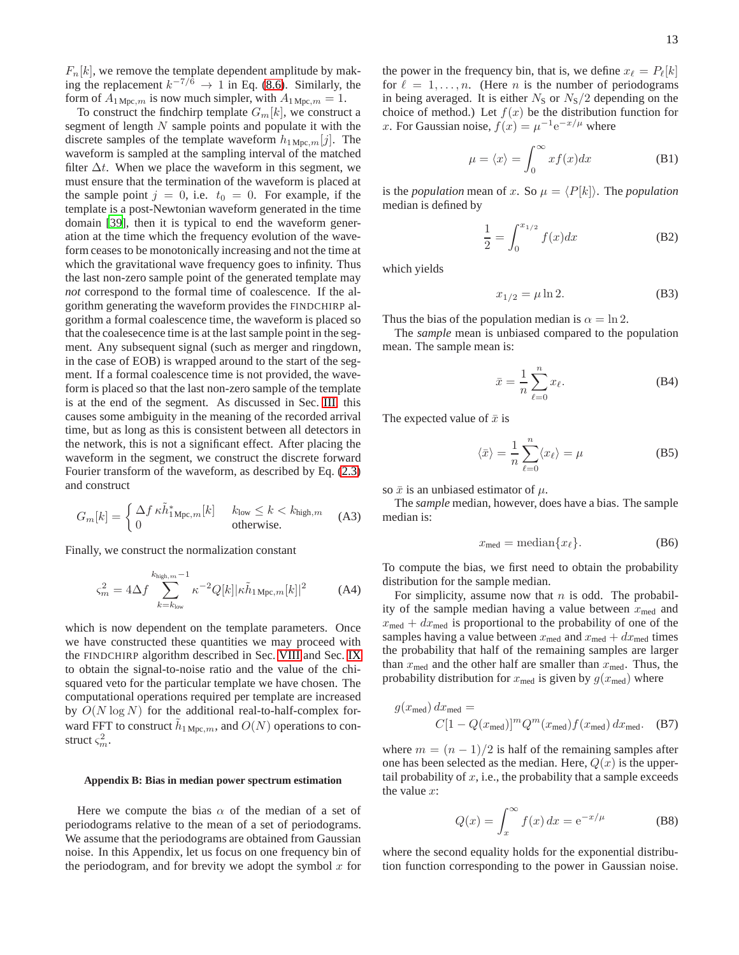$F_n[k]$ , we remove the template dependent amplitude by making the replacement  $k^{-7/6} \rightarrow 1$  in Eq. [\(8.6\)](#page-8-2). Similarly, the form of  $A_{1 \text{Mpc},m}$  is now much simpler, with  $A_{1 \text{Mpc},m} = 1$ .

To construct the findchirp template  $G_m[k]$ , we construct a segment of length  $N$  sample points and populate it with the discrete samples of the template waveform  $h_{1 \text{Mpc},m}[j]$ . The waveform is sampled at the sampling interval of the matched filter  $\Delta t$ . When we place the waveform in this segment, we must ensure that the termination of the waveform is placed at the sample point  $j = 0$ , i.e.  $t_0 = 0$ . For example, if the template is a post-Newtonian waveform generated in the time domain [\[39](#page-16-6)], then it is typical to end the waveform generation at the time which the frequency evolution of the waveform ceases to be monotonically increasing and not the time at which the gravitational wave frequency goes to infinity. Thus the last non-zero sample point of the generated template may *not* correspond to the formal time of coalescence. If the algorithm generating the waveform provides the FINDCHIRP algorithm a formal coalescence time, the waveform is placed so that the coalesecence time is at the last sample point in the segment. Any subsequent signal (such as merger and ringdown, in the case of EOB) is wrapped around to the start of the segment. If a formal coalescence time is not provided, the waveform is placed so that the last non-zero sample of the template is at the end of the segment. As discussed in Sec. [III,](#page-1-1) this causes some ambiguity in the meaning of the recorded arrival time, but as long as this is consistent between all detectors in the network, this is not a significant effect. After placing the waveform in the segment, we construct the discrete forward Fourier transform of the waveform, as described by Eq. [\(2.3\)](#page-1-0) and construct

$$
G_m[k] = \begin{cases} \Delta f \kappa \tilde{h}_{1 \text{Mpc},m}^*[k] & k_{\text{low}} \le k < k_{\text{high},m} \\ 0 & \text{otherwise.} \end{cases} \tag{A3}
$$

Finally, we construct the normalization constant

$$
\varsigma_m^2 = 4\Delta f \sum_{k=k_{\text{low}}}^{k_{\text{high},m}-1} \kappa^{-2} Q[k] |\kappa \tilde{h}_{1 \text{ Mpc},m}[k]|^2 \tag{A4}
$$

which is now dependent on the template parameters. Once we have constructed these quantities we may proceed with the FINDCHIRP algorithm described in Sec. [VIII](#page-7-2) and Sec. [IX](#page-8-6) to obtain the signal-to-noise ratio and the value of the chisquared veto for the particular template we have chosen. The computational operations required per template are increased by  $O(N \log N)$  for the additional real-to-half-complex forward FFT to construct  $\tilde{h}_{1 \text{ Mpc},m}$ , and  $O(N)$  operations to construct  $\varsigma_m^2$ .

### <span id="page-12-0"></span>**Appendix B: Bias in median power spectrum estimation**

Here we compute the bias  $\alpha$  of the median of a set of periodograms relative to the mean of a set of periodograms. We assume that the periodograms are obtained from Gaussian noise. In this Appendix, let us focus on one frequency bin of the periodogram, and for brevity we adopt the symbol  $x$  for the power in the frequency bin, that is, we define  $x_{\ell} = P_{\ell}[k]$ for  $\ell = 1, \ldots, n$ . (Here *n* is the number of periodograms in being averaged. It is either  $N<sub>S</sub>$  or  $N<sub>S</sub>/2$  depending on the choice of method.) Let  $f(x)$  be the distribution function for x. For Gaussian noise,  $f(x) = \mu^{-1} e^{-x/\mu}$  where

$$
\mu = \langle x \rangle = \int_0^\infty x f(x) dx \tag{B1}
$$

is the *population* mean of x. So  $\mu = \langle P[k] \rangle$ . The *population* median is defined by

$$
\frac{1}{2} = \int_0^{x_{1/2}} f(x) dx
$$
 (B2)

which yields

$$
x_{1/2} = \mu \ln 2. \tag{B3}
$$

Thus the bias of the population median is  $\alpha = \ln 2$ .

The *sample* mean is unbiased compared to the population mean. The sample mean is:

$$
\bar{x} = \frac{1}{n} \sum_{\ell=0}^{n} x_{\ell}.
$$
 (B4)

The expected value of  $\bar{x}$  is

$$
\langle \bar{x} \rangle = \frac{1}{n} \sum_{\ell=0}^{n} \langle x_{\ell} \rangle = \mu
$$
 (B5)

so  $\bar{x}$  is an unbiased estimator of  $\mu$ .

The *sample* median, however, does have a bias. The sample median is:

$$
x_{\text{med}} = \text{median}\{x_{\ell}\}.
$$
 (B6)

To compute the bias, we first need to obtain the probability distribution for the sample median.

For simplicity, assume now that  $n$  is odd. The probability of the sample median having a value between  $x_{\text{med}}$  and  $x_{\text{med}} + dx_{\text{med}}$  is proportional to the probability of one of the samples having a value between  $x_{\text{med}}$  and  $x_{\text{med}} + dx_{\text{med}}$  times the probability that half of the remaining samples are larger than  $x_{\text{med}}$  and the other half are smaller than  $x_{\text{med}}$ . Thus, the probability distribution for  $x_{\text{med}}$  is given by  $g(x_{\text{med}})$  where

$$
g(x_{\text{med}}) dx_{\text{med}} =
$$
  

$$
C[1 - Q(x_{\text{med}})]^m Q^m(x_{\text{med}}) f(x_{\text{med}}) dx_{\text{med}}.
$$
 (B7)

where  $m = (n - 1)/2$  is half of the remaining samples after one has been selected as the median. Here,  $Q(x)$  is the uppertail probability of  $x$ , i.e., the probability that a sample exceeds the value  $x$ :

$$
Q(x) = \int_{x}^{\infty} f(x) dx = e^{-x/\mu}
$$
 (B8)

where the second equality holds for the exponential distribution function corresponding to the power in Gaussian noise.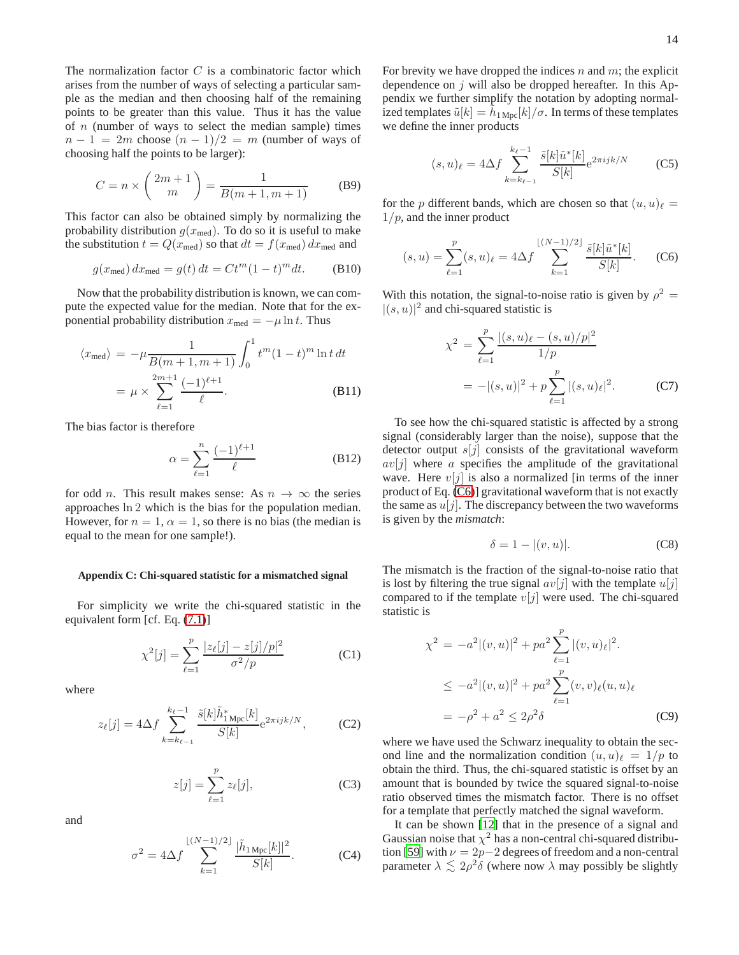The normalization factor  $C$  is a combinatoric factor which arises from the number of ways of selecting a particular sample as the median and then choosing half of the remaining points to be greater than this value. Thus it has the value of  $n$  (number of ways to select the median sample) times  $n-1 = 2m$  choose  $(n-1)/2 = m$  (number of ways of choosing half the points to be larger):

$$
C = n \times \binom{2m+1}{m} = \frac{1}{B(m+1, m+1)}
$$
 (B9)

This factor can also be obtained simply by normalizing the probability distribution  $g(x_{\text{med}})$ . To do so it is useful to make the substitution  $t = Q(x_{\text{med}})$  so that  $dt = f(x_{\text{med}}) dx_{\text{med}}$  and

$$
g(x_{\text{med}}) dx_{\text{med}} = g(t) dt = Ct^m (1-t)^m dt.
$$
 (B10)

Now that the probability distribution is known, we can compute the expected value for the median. Note that for the exponential probability distribution  $x_{\text{med}} = -\mu \ln t$ . Thus

$$
\langle x_{\text{med}} \rangle = -\mu \frac{1}{B(m+1, m+1)} \int_0^1 t^m (1-t)^m \ln t \, dt
$$
  
=  $\mu \times \sum_{\ell=1}^{2m+1} \frac{(-1)^{\ell+1}}{\ell}.$  (B11)

The bias factor is therefore

$$
\alpha = \sum_{\ell=1}^{n} \frac{(-1)^{\ell+1}}{\ell} \tag{B12}
$$

for odd *n*. This result makes sense: As  $n \to \infty$  the series approaches ln 2 which is the bias for the population median. However, for  $n = 1$ ,  $\alpha = 1$ , so there is no bias (the median is equal to the mean for one sample!).

### **Appendix C: Chi-squared statistic for a mismatched signal**

For simplicity we write the chi-squared statistic in the equivalent form [cf. Eq. [\(7.1\)](#page-6-1)]

$$
\chi^2[j] = \sum_{\ell=1}^p \frac{|z_{\ell}[j] - z[j]/p|^2}{\sigma^2/p} \tag{C1}
$$

where

$$
z_{\ell}[j] = 4\Delta f \sum_{k=k_{\ell-1}}^{k_{\ell}-1} \frac{\tilde{s}[k]\tilde{h}_{1\,\mathrm{Mpc}}^*[k]}{S[k]} e^{2\pi i j k/N},\tag{C2}
$$

$$
z[j] = \sum_{\ell=1}^{p} z_{\ell}[j],\tag{C3}
$$

and

$$
\sigma^2 = 4\Delta f \sum_{k=1}^{\lfloor (N-1)/2 \rfloor} \frac{|\tilde{h}_{1 \text{ Mpc}}[k]|^2}{S[k]}.
$$
 (C4)

For brevity we have dropped the indices  $n$  and  $m$ ; the explicit dependence on  $j$  will also be dropped hereafter. In this Appendix we further simplify the notation by adopting normalized templates  $\tilde{u}[k] = \tilde{h}_{1 \text{ Mpc}}[k]/\sigma$ . In terms of these templates we define the inner products

$$
(s, u)_{\ell} = 4\Delta f \sum_{k=k_{\ell-1}}^{k_{\ell}-1} \frac{\tilde{s}[k]\tilde{u}^*[k]}{S[k]} e^{2\pi ijk/N}
$$
 (C5)

for the p different bands, which are chosen so that  $(u, u)_{\ell} =$  $1/p$ , and the inner product

<span id="page-13-0"></span>
$$
(s, u) = \sum_{\ell=1}^{p} (s, u)_{\ell} = 4\Delta f \sum_{k=1}^{\lfloor (N-1)/2 \rfloor} \frac{\tilde{s}[k]\tilde{u}^*[k]}{S[k]}.
$$
 (C6)

With this notation, the signal-to-noise ratio is given by  $\rho^2 =$  $|(s, u)|^2$  and chi-squared statistic is

$$
\chi^2 = \sum_{\ell=1}^p \frac{|(s, u)_\ell - (s, u)/p|^2}{1/p}
$$
  
= -|(s, u)|^2 + p \sum\_{\ell=1}^p |(s, u)\_\ell|^2. (C7)

To see how the chi-squared statistic is affected by a strong signal (considerably larger than the noise), suppose that the detector output  $s[j]$  consists of the gravitational waveform  $av[j]$  where a specifies the amplitude of the gravitational wave. Here  $v[j]$  is also a normalized [in terms of the inner product of Eq. [\(C6\)](#page-13-0)] gravitational waveform that is not exactly the same as  $u[j]$ . The discrepancy between the two waveforms is given by the *mismatch*:

$$
\delta = 1 - |(v, u)|. \tag{C8}
$$

The mismatch is the fraction of the signal-to-noise ratio that is lost by filtering the true signal  $av[j]$  with the template  $u[j]$ compared to if the template  $v[j]$  were used. The chi-squared statistic is

$$
\chi^{2} = -a^{2} |(v, u)|^{2} + p a^{2} \sum_{\ell=1}^{p} |(v, u)_{\ell}|^{2}.
$$
  
\n
$$
\leq -a^{2} |(v, u)|^{2} + p a^{2} \sum_{\ell=1}^{p} (v, v)_{\ell} (u, u)_{\ell}
$$
  
\n
$$
= -\rho^{2} + a^{2} \leq 2\rho^{2} \delta
$$
 (C9)

where we have used the Schwarz inequality to obtain the second line and the normalization condition  $(u, u)_{\ell} = 1/p$  to obtain the third. Thus, the chi-squared statistic is offset by an amount that is bounded by twice the squared signal-to-noise ratio observed times the mismatch factor. There is no offset for a template that perfectly matched the signal waveform.

It can be shown [\[12\]](#page-15-7) that in the presence of a signal and Gaussian noise that  $\chi^2$  has a non-central chi-squared distribu-tion [\[59\]](#page-16-20) with  $\nu = 2p-2$  degrees of freedom and a non-central parameter  $\lambda \lesssim 2\rho^2 \delta$  (where now  $\lambda$  may possibly be slightly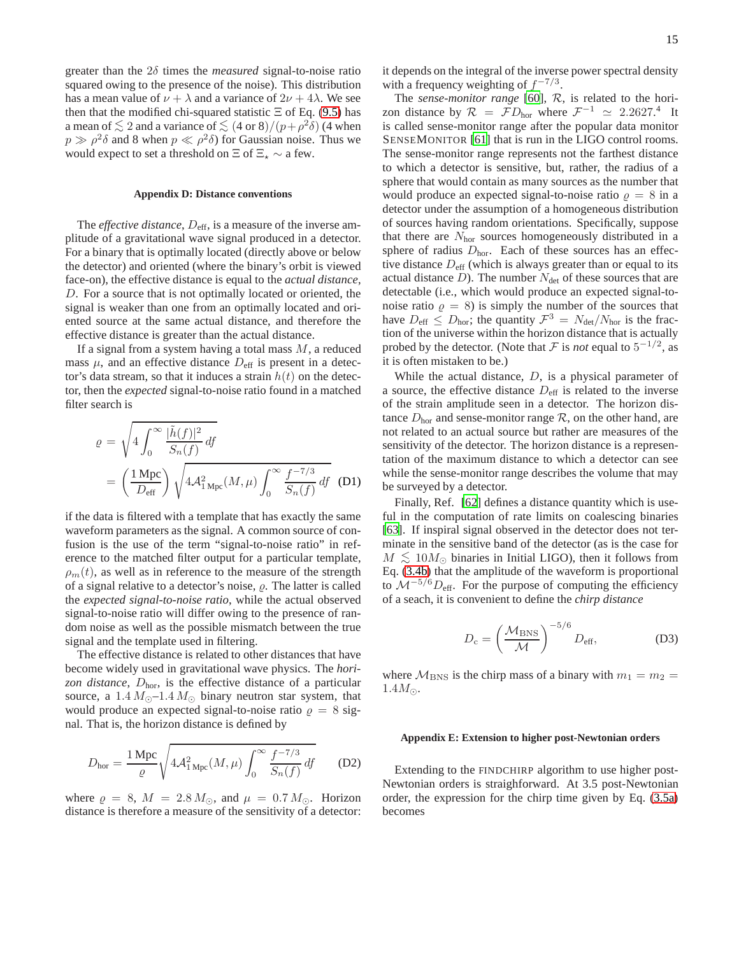greater than the 2δ times the *measured* signal-to-noise ratio squared owing to the presence of the noise). This distribution has a mean value of  $\nu + \lambda$  and a variance of  $2\nu + 4\lambda$ . We see then that the modified chi-squared statistic  $\Xi$  of Eq. [\(9.5\)](#page-9-3) has a mean of  $\lesssim 2$  and a variance of  $\lesssim (4 \text{ or } 8)/(p+\rho^2\delta)$  (4 when  $p \gg \rho^2 \delta$  and 8 when  $p \ll \rho^2 \delta$ ) for Gaussian noise. Thus we would expect to set a threshold on  $\Xi$  of  $\Xi_{\star} \sim$  a few.

### **Appendix D: Distance conventions**

The *effective distance*,  $D_{\text{eff}}$ , is a measure of the inverse amplitude of a gravitational wave signal produced in a detector. For a binary that is optimally located (directly above or below the detector) and oriented (where the binary's orbit is viewed face-on), the effective distance is equal to the *actual distance*, D. For a source that is not optimally located or oriented, the signal is weaker than one from an optimally located and oriented source at the same actual distance, and therefore the effective distance is greater than the actual distance.

If a signal from a system having a total mass  $M$ , a reduced mass  $\mu$ , and an effective distance  $D_{\text{eff}}$  is present in a detector's data stream, so that it induces a strain  $h(t)$  on the detector, then the *expected* signal-to-noise ratio found in a matched filter search is

$$
\varrho = \sqrt{4 \int_0^\infty \frac{|\tilde{h}(f)|^2}{S_n(f)} df}
$$

$$
= \left(\frac{1 \text{ Mpc}}{D_{\text{eff}}}\right) \sqrt{4 \mathcal{A}_{1 \text{ Mpc}}^2(M,\mu) \int_0^\infty \frac{f^{-7/3}}{S_n(f)} df} \quad (D1)
$$

if the data is filtered with a template that has exactly the same waveform parameters as the signal. A common source of confusion is the use of the term "signal-to-noise ratio" in reference to the matched filter output for a particular template,  $\rho_m(t)$ , as well as in reference to the measure of the strength of a signal relative to a detector's noise,  $\rho$ . The latter is called the *expected signal-to-noise ratio*, while the actual observed signal-to-noise ratio will differ owing to the presence of random noise as well as the possible mismatch between the true signal and the template used in filtering.

The effective distance is related to other distances that have become widely used in gravitational wave physics. The *horizon distance*, Dhor, is the effective distance of a particular source, a  $1.4 M_{\odot}$ –1.4  $M_{\odot}$  binary neutron star system, that would produce an expected signal-to-noise ratio  $\rho = 8$  signal. That is, the horizon distance is defined by

$$
D_{\text{hor}} = \frac{1 \text{ Mpc}}{\varrho} \sqrt{4 \mathcal{A}_{1 \text{ Mpc}}^2(M,\mu) \int_0^\infty \frac{f^{-7/3}}{S_n(f)} df} \qquad (D2)
$$

where  $\rho = 8$ ,  $M = 2.8 M_{\odot}$ , and  $\mu = 0.7 M_{\odot}$ . Horizon distance is therefore a measure of the sensitivity of a detector:

it depends on the integral of the inverse power spectral density with a frequency weighting of  $f^{-7/3}$ .

The *sense-monitor range* [\[60](#page-16-21)], R, is related to the horizon distance by  $\mathcal{R} = \mathcal{F}D_{\text{hor}}$  where  $\mathcal{F}^{-1} \simeq 2.2627$ .<sup>4</sup> It is called sense-monitor range after the popular data monitor SENSEMONITOR [\[61](#page-16-22)] that is run in the LIGO control rooms. The sense-monitor range represents not the farthest distance to which a detector is sensitive, but, rather, the radius of a sphere that would contain as many sources as the number that would produce an expected signal-to-noise ratio  $\rho = 8$  in a detector under the assumption of a homogeneous distribution of sources having random orientations. Specifically, suppose that there are  $N_{\text{hor}}$  sources homogeneously distributed in a sphere of radius  $D<sub>hor</sub>$ . Each of these sources has an effective distance  $D_{\text{eff}}$  (which is always greater than or equal to its actual distance  $D$ ). The number  $N_{\text{det}}$  of these sources that are detectable (i.e., which would produce an expected signal-tonoise ratio  $\rho = 8$ ) is simply the number of the sources that have  $D_{\text{eff}} \leq D_{\text{hor}}$ ; the quantity  $\mathcal{F}^3 = N_{\text{det}}/N_{\text{hor}}$  is the fraction of the universe within the horizon distance that is actually probed by the detector. (Note that  $\mathcal F$  is *not* equal to  $5^{-1/2}$ , as it is often mistaken to be.)

While the actual distance,  $D$ , is a physical parameter of a source, the effective distance  $D_{\text{eff}}$  is related to the inverse of the strain amplitude seen in a detector. The horizon distance  $D<sub>hor</sub>$  and sense-monitor range  $R$ , on the other hand, are not related to an actual source but rather are measures of the sensitivity of the detector. The horizon distance is a representation of the maximum distance to which a detector can see while the sense-monitor range describes the volume that may be surveyed by a detector.

Finally, Ref. [\[62\]](#page-16-23) defines a distance quantity which is useful in the computation of rate limits on coalescing binaries [\[63](#page-16-24)]. If inspiral signal observed in the detector does not terminate in the sensitive band of the detector (as is the case for  $M \lesssim 10 M_{\odot}$  binaries in Initial LIGO), then it follows from Eq. [\(3.4b\)](#page-2-2) that the amplitude of the waveform is proportional to  $\mathcal{M}^{-5/6}D_{\text{eff}}$ . For the purpose of computing the efficiency of a seach, it is convenient to define the *chirp distance*

$$
D_{\rm c} = \left(\frac{\mathcal{M}_{\rm BNS}}{\mathcal{M}}\right)^{-5/6} D_{\rm eff},\tag{D3}
$$

where  $M_{BNS}$  is the chirp mass of a binary with  $m_1 = m_2 =$  $1.4M_{\odot}$ .

## <span id="page-14-0"></span>**Appendix E: Extension to higher post-Newtonian orders**

Extending to the FINDCHIRP algorithm to use higher post-Newtonian orders is straighforward. At 3.5 post-Newtonian order, the expression for the chirp time given by Eq. [\(3.5a\)](#page-3-2) becomes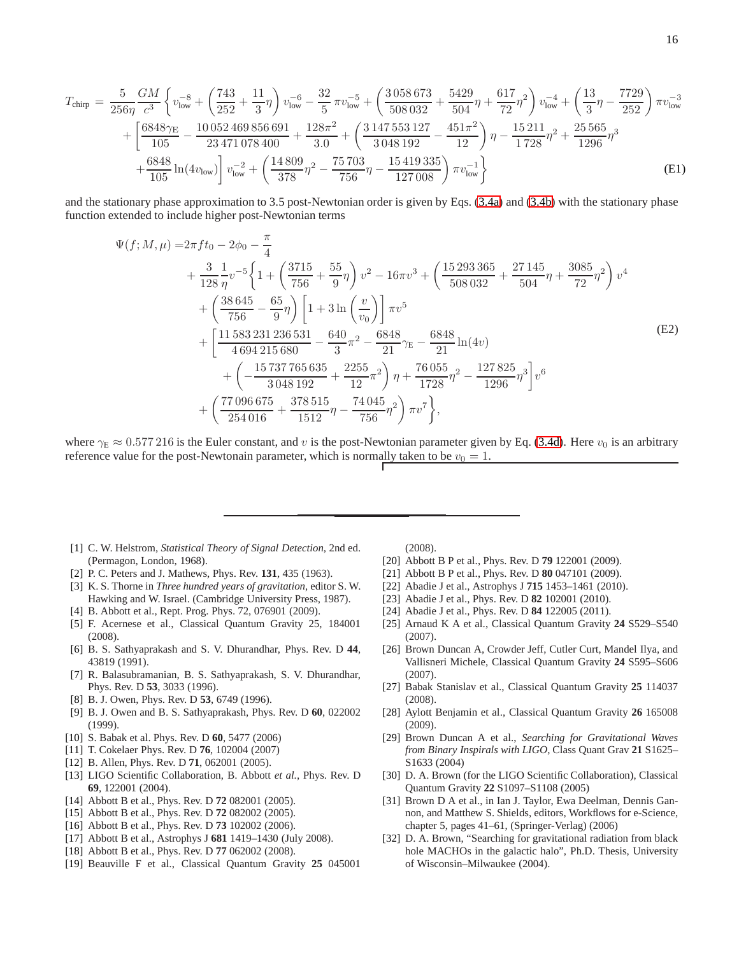$$
T_{\text{chirp}} = \frac{5}{256\eta} \frac{GM}{c^3} \left\{ v_{\text{low}}^{-8} + \left( \frac{743}{252} + \frac{11}{3} \eta \right) v_{\text{low}}^{-6} - \frac{32}{5} \pi v_{\text{low}}^{-5} + \left( \frac{3058673}{508032} + \frac{5429}{504} \eta + \frac{617}{72} \eta^2 \right) v_{\text{low}}^{-4} + \left( \frac{13}{3} \eta - \frac{7729}{252} \right) \pi v_{\text{low}}^{-3} + \left[ \frac{6848 \gamma_{\text{E}}}{105} - \frac{10052469856691}{23471078400} + \frac{128 \pi^2}{3.0} + \left( \frac{3147553127}{3048192} - \frac{451 \pi^2}{12} \right) \eta - \frac{15211}{1728} \eta^2 + \frac{25565}{1296} \eta^3 + \frac{6848}{105} \ln(4 v_{\text{low}}) \right\} v_{\text{low}}^{-2} + \left( \frac{14809}{378} \eta^2 - \frac{75703}{756} \eta - \frac{15419335}{127008} \right) \pi v_{\text{low}}^{-1} \}
$$
\n(E1)

and the stationary phase approximation to 3.5 post-Newtonian order is given by Eqs. [\(3.4a\)](#page-2-1) and [\(3.4b\)](#page-2-2) with the stationary phase function extended to include higher post-Newtonian terms

$$
\Psi(f; M, \mu) = 2\pi f t_0 - 2\phi_0 - \frac{\pi}{4} \n+ \frac{3}{128} \frac{1}{\eta} v^{-5} \left\{ 1 + \left( \frac{3715}{756} + \frac{55}{9} \eta \right) v^2 - 16\pi v^3 + \left( \frac{15293365}{508032} + \frac{27145}{504} \eta + \frac{3085}{72} \eta^2 \right) v^4 \right. \n+ \left( \frac{38645}{756} - \frac{65}{9} \eta \right) \left[ 1 + 3 \ln \left( \frac{v}{v_0} \right) \right] \pi v^5 \n+ \left[ \frac{11583231236531}{4694215680} - \frac{640}{3} \pi^2 - \frac{6848}{21} \gamma_E - \frac{6848}{21} \ln(4v) \right. \n+ \left( -\frac{15737765635}{3048192} + \frac{2255}{12} \pi^2 \right) \eta + \frac{76055}{1728} \eta^2 - \frac{127825}{1296} \eta^3 \right] v^6 \n+ \left( \frac{77096675}{254016} + \frac{378515}{1512} \eta - \frac{74045}{756} \eta^2 \right) \pi v^7 \bigg\},
$$
\n(B2)

where  $\gamma_E \approx 0.577216$  is the Euler constant, and v is the post-Newtonian parameter given by Eq. [\(3.4d\)](#page-2-3). Here  $v_0$  is an arbitrary reference value for the post-Newtonain parameter, which is normally taken to be  $v_0 = 1$ .

- <span id="page-15-0"></span>[1] C. W. Helstrom, *Statistical Theory of Signal Detection*, 2nd ed. (Permagon, London, 1968).
- <span id="page-15-1"></span>[2] P. C. Peters and J. Mathews, Phys. Rev. **131**, 435 (1963).
- <span id="page-15-2"></span>[3] K. S. Thorne in *Three hundred years of gravitation*, editor S. W. Hawking and W. Israel. (Cambridge University Press, 1987).
- <span id="page-15-3"></span>[4] B. Abbott et al., Rept. Prog. Phys. 72, 076901 (2009).
- <span id="page-15-4"></span>[5] F. Acernese et al., Classical Quantum Gravity 25, 184001 (2008).
- <span id="page-15-5"></span>[6] B. S. Sathyaprakash and S. V. Dhurandhar, Phys. Rev. D **44**, 43819 (1991).
- [7] R. Balasubramanian, B. S. Sathyaprakash, S. V. Dhurandhar, Phys. Rev. D **53**, 3033 (1996).
- <span id="page-15-20"></span>[8] B. J. Owen, Phys. Rev. D **53**, 6749 (1996).
- [9] B. J. Owen and B. S. Sathyaprakash, Phys. Rev. D **60**, 022002 (1999).
- <span id="page-15-21"></span>[10] S. Babak et al. Phys. Rev. D **60**, 5477 (2006)
- <span id="page-15-6"></span>[11] T. Cokelaer Phys. Rev. D **76**, 102004 (2007)
- <span id="page-15-7"></span>[12] B. Allen, Phys. Rev. D **71**, 062001 (2005).
- <span id="page-15-8"></span>[13] LIGO Scientific Collaboration, B. Abbott *et al.*, Phys. Rev. D **69**, 122001 (2004).
- [14] Abbott B et al., Phys. Rev. D **72** 082001 (2005).
- <span id="page-15-13"></span>[15] Abbott B et al., Phys. Rev. D **72** 082002 (2005).
- [16] Abbott B et al., Phys. Rev. D **73** 102002 (2006).
- <span id="page-15-14"></span>[17] Abbott B et al., Astrophys J **681** 1419–1430 (July 2008).
- <span id="page-15-15"></span>[18] Abbott B et al., Phys. Rev. D **77** 062002 (2008).
- [19] Beauville F et al., Classical Quantum Gravity **25** 045001

(2008).

- <span id="page-15-16"></span>[20] Abbott B P et al., Phys. Rev. D **79** 122001 (2009).
- [21] Abbott B P et al., Phys. Rev. D **80** 047101 (2009).
- [22] Abadie J et al., Astrophys J **715** 1453–1461 (2010).
- [23] Abadie J et al., Phys. Rev. D **82** 102001 (2010).
- <span id="page-15-9"></span>[24] Abadie J et al., Phys. Rev. D **84** 122005 (2011).
- <span id="page-15-10"></span>[25] Arnaud K A et al., Classical Quantum Gravity **24** S529–S540 (2007).
- [26] Brown Duncan A, Crowder Jeff, Cutler Curt, Mandel Ilya, and Vallisneri Michele, Classical Quantum Gravity **24** S595–S606 (2007).
- <span id="page-15-11"></span>[27] Babak Stanislav et al., Classical Quantum Gravity **25** 114037 (2008).
- <span id="page-15-12"></span>[28] Aylott Benjamin et al., Classical Quantum Gravity **26** 165008 (2009).
- <span id="page-15-17"></span>[29] Brown Duncan A et al., *Searching for Gravitational Waves from Binary Inspirals with LIGO*, Class Quant Grav **21** S1625– S1633 (2004)
- [30] D. A. Brown (for the LIGO Scientific Collaboration), Classical Quantum Gravity **22** S1097–S1108 (2005)
- <span id="page-15-18"></span>[31] Brown D A et al., in Ian J. Taylor, Ewa Deelman, Dennis Gannon, and Matthew S. Shields, editors, Workflows for e-Science, chapter 5, pages 41–61, (Springer-Verlag) (2006)
- <span id="page-15-19"></span>[32] D. A. Brown, "Searching for gravitational radiation from black hole MACHOs in the galactic halo", Ph.D. Thesis, University of Wisconsin–Milwaukee (2004).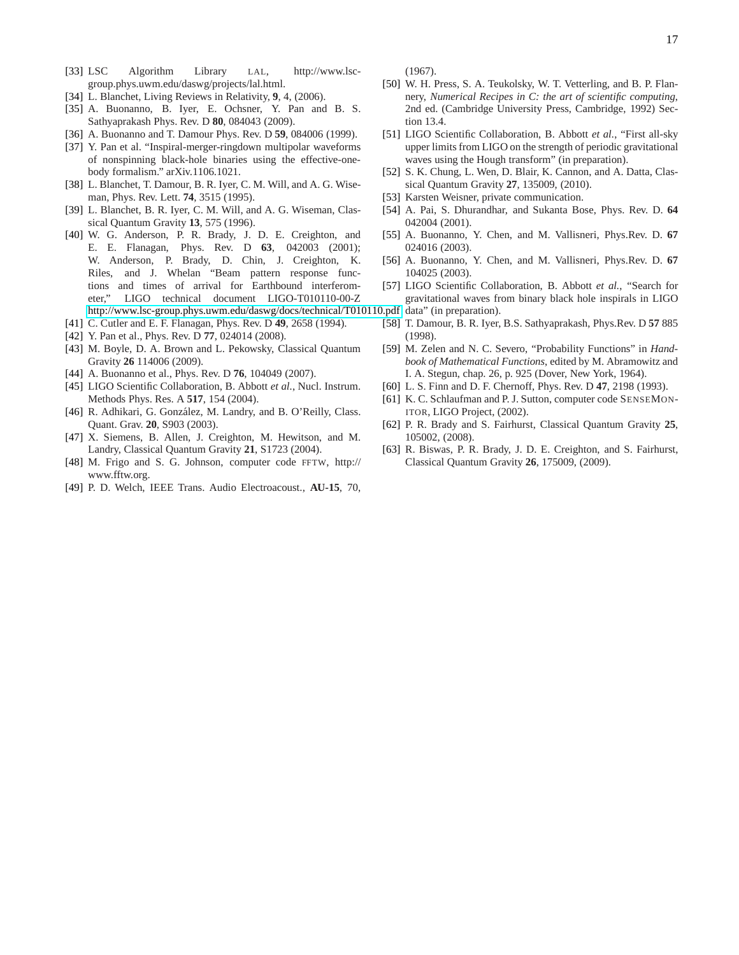- <span id="page-16-0"></span>[33] LSC Algorithm Library LAL, http://www.lscgroup.phys.uwm.edu/daswg/projects/lal.html.
- <span id="page-16-1"></span>[34] L. Blanchet, Living Reviews in Relativity, **9**, 4, (2006).
- <span id="page-16-2"></span>[35] A. Buonanno, B. Iyer, E. Ochsner, Y. Pan and B. S. Sathyaprakash Phys. Rev. D **80**, 084043 (2009).
- <span id="page-16-3"></span>[36] A. Buonanno and T. Damour Phys. Rev. D **59**, 084006 (1999).
- <span id="page-16-4"></span>[37] Y. Pan et al. "Inspiral-merger-ringdown multipolar waveforms of nonspinning black-hole binaries using the effective-onebody formalism." arXiv.1106.1021.
- <span id="page-16-5"></span>[38] L. Blanchet, T. Damour, B. R. Iyer, C. M. Will, and A. G. Wiseman, Phys. Rev. Lett. **74**, 3515 (1995).
- <span id="page-16-6"></span>[39] L. Blanchet, B. R. Iyer, C. M. Will, and A. G. Wiseman, Classical Quantum Gravity **13**, 575 (1996).
- <span id="page-16-7"></span>[40] W. G. Anderson, P. R. Brady, J. D. E. Creighton, and E. E. Flanagan, Phys. Rev. D **63**, 042003 (2001); W. Anderson, P. Brady, D. Chin, J. Creighton, K. Riles, and J. Whelan "Beam pattern response functions and times of arrival for Earthbound interferometer," LIGO technical document LIGO-T010110-00-Z [http://www.lsc-group.phys.uwm.edu/daswg/docs/technical/T010110.pdf.](http://www.lsc-group.phys.uwm.edu/daswg/docs/technical/T010110.pdf) data" (in preparation).
- [41] C. Cutler and E. F. Flanagan, Phys. Rev. D **49**, 2658 (1994).
- <span id="page-16-8"></span>[42] Y. Pan et al., Phys. Rev. D **77**, 024014 (2008).
- <span id="page-16-9"></span>[43] M. Boyle, D. A. Brown and L. Pekowsky, Classical Quantum Gravity **26** 114006 (2009).
- <span id="page-16-10"></span>[44] A. Buonanno et al., Phys. Rev. D **76**, 104049 (2007).
- <span id="page-16-11"></span>[45] LIGO Scientific Collaboration, B. Abbott *et al.*, Nucl. Instrum. Methods Phys. Res. A **517**, 154 (2004).
- <span id="page-16-12"></span>[46] R. Adhikari, G. González, M. Landry, and B. O'Reilly, Class. Quant. Grav. **20**, S903 (2003).
- <span id="page-16-13"></span>[47] X. Siemens, B. Allen, J. Creighton, M. Hewitson, and M. Landry, Classical Quantum Gravity **21**, S1723 (2004).
- <span id="page-16-14"></span>[48] M. Frigo and S. G. Johnson, computer code FFTW, http:// www.fftw.org.
- <span id="page-16-15"></span>[49] P. D. Welch, IEEE Trans. Audio Electroacoust., **AU-15**, 70,

(1967).

- <span id="page-16-16"></span>[50] W. H. Press, S. A. Teukolsky, W. T. Vetterling, and B. P. Flannery, *Numerical Recipes in C: the art of scientific computing*, 2nd ed. (Cambridge University Press, Cambridge, 1992) Section 13.4.
- <span id="page-16-17"></span>[51] LIGO Scientific Collaboration, B. Abbott *et al.*, "First all-sky upper limits from LIGO on the strength of periodic gravitational waves using the Hough transform" (in preparation).
- <span id="page-16-18"></span>[52] S. K. Chung, L. Wen, D. Blair, K. Cannon, and A. Datta, Classical Quantum Gravity **27**, 135009, (2010).
- <span id="page-16-19"></span>[53] Karsten Weisner, private communication.
- [54] A. Pai, S. Dhurandhar, and Sukanta Bose, Phys. Rev. D. **64** 042004 (2001).
- [55] A. Buonanno, Y. Chen, and M. Vallisneri, Phys.Rev. D. **67** 024016 (2003).
- [56] A. Buonanno, Y. Chen, and M. Vallisneri, Phys.Rev. D. **67** 104025 (2003).
- [57] LIGO Scientific Collaboration, B. Abbott *et al.*, "Search for gravitational waves from binary black hole inspirals in LIGO
- <span id="page-16-24"></span><span id="page-16-23"></span><span id="page-16-22"></span><span id="page-16-21"></span><span id="page-16-20"></span>
	- [58] T. Damour, B. R. Iyer, B.S. Sathyaprakash, Phys.Rev. D **57** 885 (1998).
	- [59] M. Zelen and N. C. Severo, "Probability Functions" in *Handbook of Mathematical Functions*, edited by M. Abramowitz and I. A. Stegun, chap. 26, p. 925 (Dover, New York, 1964).
	- [60] L. S. Finn and D. F. Chernoff, Phys. Rev. D **47**, 2198 (1993).
	- [61] K. C. Schlaufman and P. J. Sutton, computer code SENSEMON-ITOR, LIGO Project, (2002).
	- [62] P. R. Brady and S. Fairhurst, Classical Quantum Gravity **25**, 105002, (2008).
	- [63] R. Biswas, P. R. Brady, J. D. E. Creighton, and S. Fairhurst, Classical Quantum Gravity **26**, 175009, (2009).